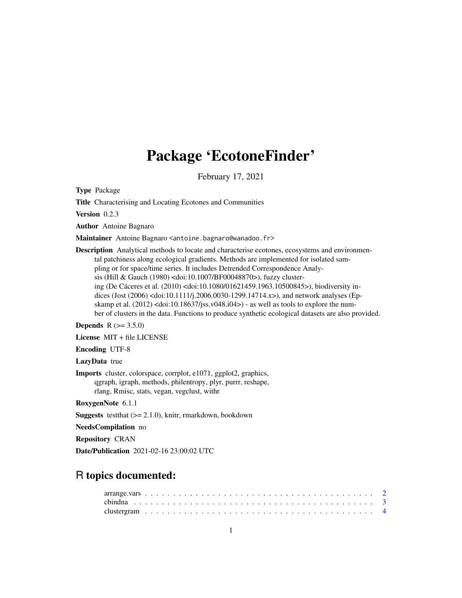# Package 'EcotoneFinder'

February 17, 2021

Type Package

Title Characterising and Locating Ecotones and Communities

Version 0.2.3

Author Antoine Bagnaro

Maintainer Antoine Bagnaro <antoine.bagnaro@wanadoo.fr>

Description Analytical methods to locate and characterise ecotones, ecosystems and environmental patchiness along ecological gradients. Methods are implemented for isolated sampling or for space/time series. It includes Detrended Correspondence Analysis (Hill & Gauch (1980) <doi:10.1007/BF00048870>), fuzzy clustering (De Cáceres et al. (2010) <doi:10.1080/01621459.1963.10500845>), biodiversity indices (Jost (2006) <doi:10.1111/j.2006.0030-1299.14714.x>), and network analyses (Epskamp et al.  $(2012)$  <doi:10.18637/jss.v048.i04>) - as well as tools to explore the number of clusters in the data. Functions to produce synthetic ecological datasets are also provided.

**Depends**  $R (= 3.5.0)$ 

License MIT + file LICENSE

Encoding UTF-8

LazyData true

Imports cluster, colorspace, corrplot, e1071, ggplot2, graphics, qgraph, igraph, methods, philentropy, plyr, purrr, reshape, rlang, Rmisc, stats, vegan, vegclust, withr

RoxygenNote 6.1.1

**Suggests** test that  $(>= 2.1.0)$ , knitr, rmarkdown, bookdown

NeedsCompilation no

Repository CRAN

Date/Publication 2021-02-16 23:00:02 UTC

# R topics documented: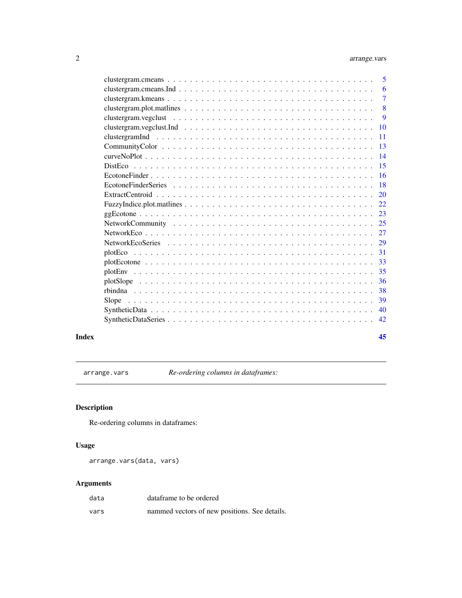<span id="page-1-0"></span>

| 5              |
|----------------|
| 6              |
| $\overline{7}$ |
| 8              |
| 9              |
| 10             |
| <b>11</b>      |
| 13             |
| 14             |
| 15             |
| <b>16</b>      |
| 18             |
| 20             |
| 22             |
| 23             |
|                |
|                |
|                |
| 31             |
| 33             |
| 35             |
| 36             |
| 38             |
| 39             |
| 40             |
| 42             |
|                |

#### **Index** [45](#page-44-0)

arrange.vars *Re-ordering columns in dataframes:*

## Description

Re-ordering columns in dataframes:

## Usage

arrange.vars(data, vars)

| data | dataframe to be ordered                       |  |
|------|-----------------------------------------------|--|
| vars | nammed vectors of new positions. See details. |  |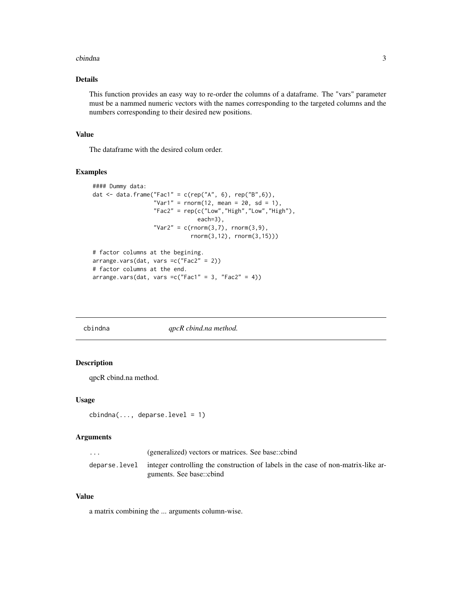#### <span id="page-2-0"></span>cbindna 3

## Details

This function provides an easy way to re-order the columns of a dataframe. The "vars" parameter must be a nammed numeric vectors with the names corresponding to the targeted columns and the numbers corresponding to their desired new positions.

## Value

The dataframe with the desired colum order.

## Examples

```
#### Dummy data:
dat <- data.frame("Fac1" = c(rep("A", 6), rep("B", 6)),
                  "Var1" = rnorm(12, mean = 20, sd = 1),
                  "Fac2" = rep(c("Low", "High", "Low", "High"),
                               each=3),
                  "Var2" = c(rnorm(3,7), rnorm(3,9),rnorm(3,12), rnorm(3,15)))
# factor columns at the begining.
arrange.vars(dat, vars =c("Fac2" = 2))
# factor columns at the end.
arrange.vars(dat, vars =c("Fac1" = 3, "Fac2" = 4))
```
cbindna *qpcR cbind.na method.*

## Description

qpcR cbind.na method.

#### Usage

```
cbindna(..., deparse.level = 1)
```
## Arguments

| $\cdot$ $\cdot$ $\cdot$ | (generalized) vectors or matrices. See base::cbind                                                                           |
|-------------------------|------------------------------------------------------------------------------------------------------------------------------|
|                         | deparse. level integer controlling the construction of labels in the case of non-matrix-like ar-<br>guments. See base::cbind |

#### Value

a matrix combining the ... arguments column-wise.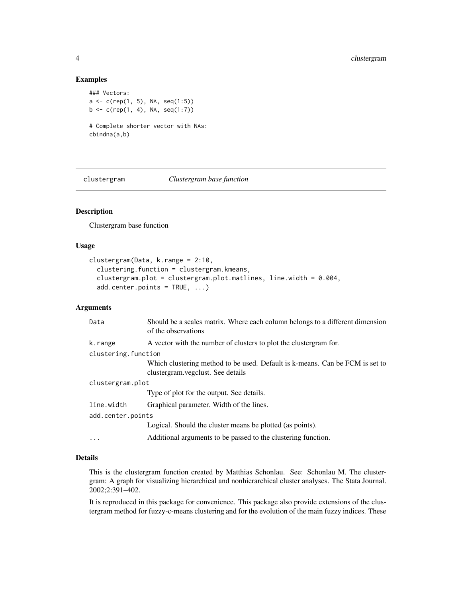## Examples

```
### Vectors:
a \leftarrow c(rep(1, 5), NA, seq(1:5))b \leq c(\text{rep}(1, 4), \text{NA}, \text{seq}(1:7))# Complete shorter vector with NAs:
cbindna(a,b)
```
clustergram *Clustergram base function*

## Description

Clustergram base function

## Usage

```
clustergram(Data, k.range = 2:10,
  clustering.function = clustergram.kmeans,
  clustergram.plot = clustergram.plot.matlines, line.width = 0.004,
  add.center.points = TRUE, ...)
```
## Arguments

| Data                | Should be a scales matrix. Where each column belongs to a different dimension<br>of the observations               |  |  |  |  |  |
|---------------------|--------------------------------------------------------------------------------------------------------------------|--|--|--|--|--|
| k.range             | A vector with the number of clusters to plot the clustergram for.                                                  |  |  |  |  |  |
| clustering.function |                                                                                                                    |  |  |  |  |  |
|                     | Which clustering method to be used. Default is k-means. Can be FCM is set to<br>clustergram. vegclust. See details |  |  |  |  |  |
| clustergram.plot    |                                                                                                                    |  |  |  |  |  |
|                     | Type of plot for the output. See details.                                                                          |  |  |  |  |  |
| line.width          | Graphical parameter. Width of the lines.                                                                           |  |  |  |  |  |
| add.center.points   |                                                                                                                    |  |  |  |  |  |
|                     | Logical. Should the cluster means be plotted (as points).                                                          |  |  |  |  |  |
|                     | Additional arguments to be passed to the clustering function.                                                      |  |  |  |  |  |
|                     |                                                                                                                    |  |  |  |  |  |

#### Details

This is the clustergram function created by Matthias Schonlau. See: Schonlau M. The clustergram: A graph for visualizing hierarchical and nonhierarchical cluster analyses. The Stata Journal. 2002;2:391–402.

It is reproduced in this package for convenience. This package also provide extensions of the clustergram method for fuzzy-c-means clustering and for the evolution of the main fuzzy indices. These

<span id="page-3-0"></span>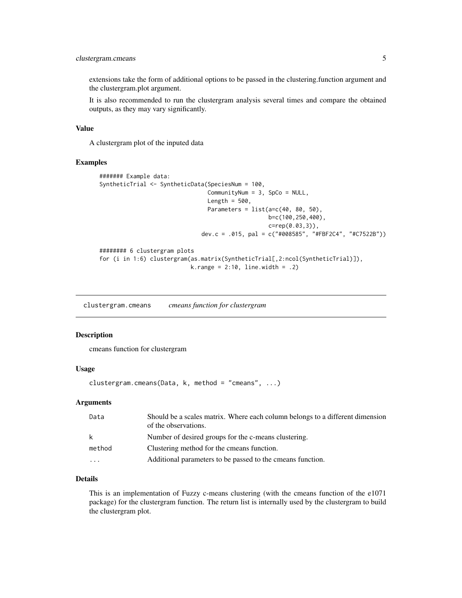## <span id="page-4-0"></span>clustergram.cmeans 5

extensions take the form of additional options to be passed in the clustering.function argument and the clustergram.plot argument.

It is also recommended to run the clustergram analysis several times and compare the obtained outputs, as they may vary significantly.

#### Value

A clustergram plot of the inputed data

#### Examples

```
####### Example data:
SyntheticTrial <- SyntheticData(SpeciesNum = 100,
                                CommunityNum = 3, SpCo = NULL,
                                Length = 500,
                                Parameters = list(a=c(40, 80, 50)),
                                                  b=c(100,250,400),
                                                  c=rep(0.03,3)),
                              dev.c = .015, pal = c("#008585", "#FBF2C4", "#C7522B"))
######## 6 clustergram plots
for (i in 1:6) clustergram(as.matrix(SyntheticTrial[,2:ncol(SyntheticTrial)]),
                           k.range = 2:10, line.width = .2)
```
clustergram.cmeans *cmeans function for clustergram*

#### Description

cmeans function for clustergram

## Usage

```
clustergram.cmeans(Data, k, method = "cmeans", ...)
```
#### Arguments

| Data   | Should be a scales matrix. Where each column belongs to a different dimension<br>of the observations. |
|--------|-------------------------------------------------------------------------------------------------------|
| k      | Number of desired groups for the c-means clustering.                                                  |
| method | Clustering method for the cmeans function.                                                            |
| .      | Additional parameters to be passed to the cmeans function.                                            |

## Details

This is an implementation of Fuzzy c-means clustering (with the cmeans function of the e1071 package) for the clustergram function. The return list is internally used by the clustergram to build the clustergram plot.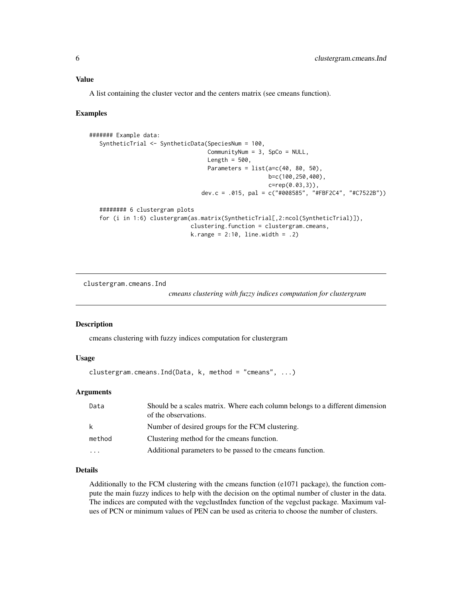## <span id="page-5-0"></span>Value

A list containing the cluster vector and the centers matrix (see cmeans function).

#### Examples

```
####### Example data:
   SyntheticTrial <- SyntheticData(SpeciesNum = 100,
                                   CommunityNum = 3, SpCo = NULL,
                                   Length = 500,
                                   Parameters = list(a=c(40, 80, 50)),
                                                     b=c(100,250,400),
                                                     c=rep(0.03,3)),
                                 dev.c = .015, pal = c("#008585", "#FBF2C4", "#C7522B"))
   ######## 6 clustergram plots
   for (i in 1:6) clustergram(as.matrix(SyntheticTrial[,2:ncol(SyntheticTrial)]),
                              clustering.function = clustergram.cmeans,
                              k.random = 2:10, line-width = .2)
```
clustergram.cmeans.Ind

*cmeans clustering with fuzzy indices computation for clustergram*

## Description

cmeans clustering with fuzzy indices computation for clustergram

## Usage

clustergram.cmeans.Ind(Data, k, method = "cmeans", ...)

## Arguments

| Data                    | Should be a scales matrix. Where each column belongs to a different dimension<br>of the observations. |
|-------------------------|-------------------------------------------------------------------------------------------------------|
| k                       | Number of desired groups for the FCM clustering.                                                      |
| method                  | Clustering method for the cmeans function.                                                            |
| $\cdot$ $\cdot$ $\cdot$ | Additional parameters to be passed to the cmeans function.                                            |

## Details

Additionally to the FCM clustering with the cmeans function (e1071 package), the function compute the main fuzzy indices to help with the decision on the optimal number of cluster in the data. The indices are computed with the vegclustIndex function of the vegclust package. Maximum values of PCN or minimum values of PEN can be used as criteria to choose the number of clusters.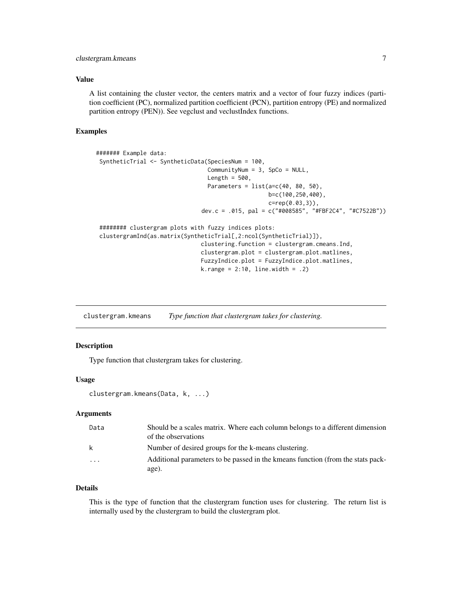## <span id="page-6-0"></span>clustergram.kmeans 7

## Value

A list containing the cluster vector, the centers matrix and a vector of four fuzzy indices (partition coefficient (PC), normalized partition coefficient (PCN), partition entropy (PE) and normalized partition entropy (PEN)). See vegclust and veclustIndex functions.

#### Examples

```
####### Example data:
 SyntheticTrial <- SyntheticData(SpeciesNum = 100,
                                 CommunityNum = 3, SpCo = NULL,
                                 Length = 500,
                                 Parameters = list(a=c(40, 80, 50),
                                                   b=c(100,250,400),
                                                   c=rep(0.03,3)),
                               dev.c = .015, pal = c("#008585", "#FBF2C4", "#C7522B"))
 ######## clustergram plots with fuzzy indices plots:
 clustergramInd(as.matrix(SyntheticTrial[,2:ncol(SyntheticTrial)]),
                               clustering.function = clustergram.cmeans.Ind,
                               clustergram.plot = clustergram.plot.matlines,
                               FuzzyIndice.plot = FuzzyIndice.plot.matlines,
                               k.random = 2:10, line.width = .2)
```
clustergram.kmeans *Type function that clustergram takes for clustering.*

#### **Description**

Type function that clustergram takes for clustering.

#### Usage

```
clustergram.kmeans(Data, k, ...)
```
#### Arguments

| Data                    | Should be a scales matrix. Where each column belongs to a different dimension<br>of the observations |
|-------------------------|------------------------------------------------------------------------------------------------------|
| k                       | Number of desired groups for the k-means clustering.                                                 |
| $\cdot$ $\cdot$ $\cdot$ | Additional parameters to be passed in the kmeans function (from the stats pack-<br>age).             |

## Details

This is the type of function that the clustergram function uses for clustering. The return list is internally used by the clustergram to build the clustergram plot.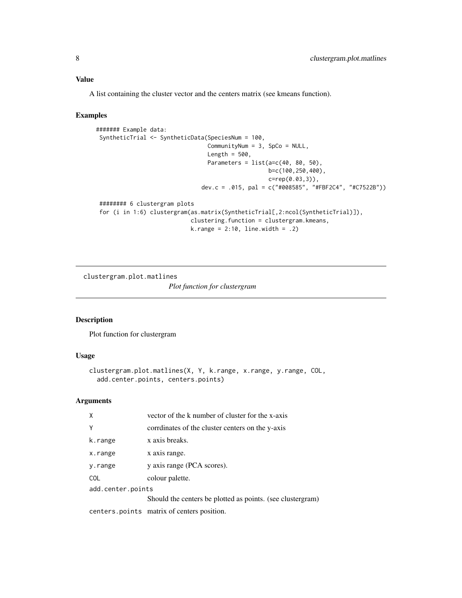## <span id="page-7-0"></span>Value

A list containing the cluster vector and the centers matrix (see kmeans function).

#### Examples

```
####### Example data:
 SyntheticTrial <- SyntheticData(SpeciesNum = 100,
                                 CommunityNum = 3, SpCo = NULL,
                                 Length = 500,
                                 Parameters = list(a=c(40, 80, 50)),
                                                   b=c(100,250,400),
                                                   c=rep(0.03,3)),
                               dev.c = .015, pal = c("#008585", "#FBF2C4", "#C7522B"))
 ######## 6 clustergram plots
 for (i in 1:6) clustergram(as.matrix(SyntheticTrial[,2:ncol(SyntheticTrial)]),
                            clustering.function = clustergram.kmeans,
                            k.random = 2:10, line-width = .2)
```

```
clustergram.plot.matlines
                         Plot function for clustergram
```
## Description

Plot function for clustergram

## Usage

```
clustergram.plot.matlines(X, Y, k.range, x.range, y.range, COL,
  add.center.points, centers.points)
```

| $\mathsf{x}$      | vector of the k number of cluster for the x-axis           |  |  |  |  |  |
|-------------------|------------------------------------------------------------|--|--|--|--|--|
| Y                 | corrdinates of the cluster centers on the y-axis           |  |  |  |  |  |
| k.range           | x axis breaks.                                             |  |  |  |  |  |
| x.range           | x axis range.                                              |  |  |  |  |  |
| y.range           | y axis range (PCA scores).                                 |  |  |  |  |  |
| <b>COL</b>        | colour palette.                                            |  |  |  |  |  |
| add.center.points |                                                            |  |  |  |  |  |
|                   | Should the centers be plotted as points. (see clustergram) |  |  |  |  |  |
|                   | centers points matrix of centers position.                 |  |  |  |  |  |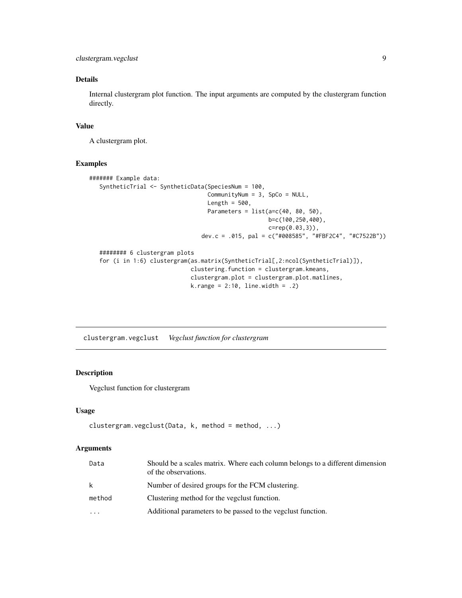```
clustergram.vegclust 9
```
Internal clustergram plot function. The input arguments are computed by the clustergram function directly.

## Value

A clustergram plot.

#### Examples

```
####### Example data:
  SyntheticTrial <- SyntheticData(SpeciesNum = 100,
                                   CommunityNum = 3, SpCo = NULL,
                                   Length = 500,
                                   Parameters = list(a=c(40, 80, 50)),
                                                     b=c(100,250,400),
                                                     c=rep(0.03,3)),
                                 dev.c = .015, pal = c("#008585", "#FBF2C4", "#C7522B"))
  ######## 6 clustergram plots
  for (i in 1:6) clustergram(as.matrix(SyntheticTrial[,2:ncol(SyntheticTrial)]),
                              clustering.function = clustergram.kmeans,
                              clustergram.plot = clustergram.plot.matlines,
                              k.random = 2:10, line-width = .2)
```
clustergram.vegclust *Vegclust function for clustergram*

## Description

Vegclust function for clustergram

#### Usage

```
clustergram.vegclust(Data, k, method = method, ...)
```

| Data   | Should be a scales matrix. Where each column belongs to a different dimension<br>of the observations. |
|--------|-------------------------------------------------------------------------------------------------------|
| k      | Number of desired groups for the FCM clustering.                                                      |
| method | Clustering method for the vegclust function.                                                          |
| .      | Additional parameters to be passed to the vegelust function.                                          |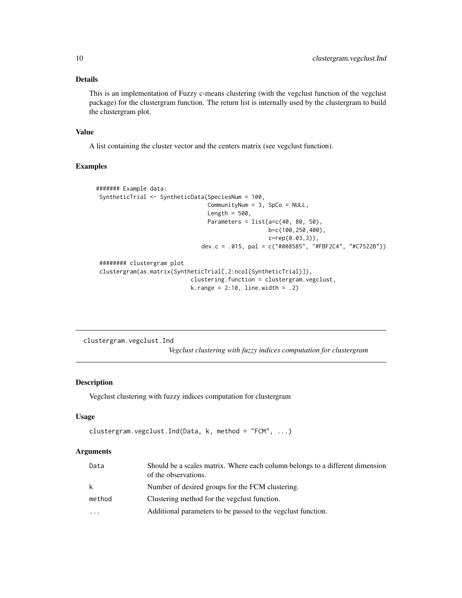<span id="page-9-0"></span>This is an implementation of Fuzzy c-means clustering (with the vegclust function of the vegclust package) for the clustergram function. The return list is internally used by the clustergram to build the clustergram plot.

#### Value

A list containing the cluster vector and the centers matrix (see vegclust function).

## Examples

```
####### Example data:
SyntheticTrial <- SyntheticData(SpeciesNum = 100,
                                 CommunityNum = 3, SpCo = NULL,
                                 Length = 500,
                                 Parameters = list(a=c(40, 80, 50)),
                                                   b=c(100,250,400),
                                                   c=rep(0.03,3)),
                               dev.c = .015, pal = c("#008585", "#FBF2C4", "#C7522B"))
 ######## clustergram plot
 clustergram(as.matrix(SyntheticTrial[,2:ncol(SyntheticTrial)]),
                            clustering.function = clustergram.vegclust,
                            k.random = 2:10, line.width = .2)
```
clustergram.vegclust.Ind *Vegclust clustering with fuzzy indices computation for clustergram*

## Description

Vegclust clustering with fuzzy indices computation for clustergram

#### Usage

```
clustergram.vegclust.Ind(Data, k, method = "FCM", ...)
```

| Data   | Should be a scales matrix. Where each column belongs to a different dimension<br>of the observations. |
|--------|-------------------------------------------------------------------------------------------------------|
| k      | Number of desired groups for the FCM clustering.                                                      |
| method | Clustering method for the vegclust function.                                                          |
| .      | Additional parameters to be passed to the vegelust function.                                          |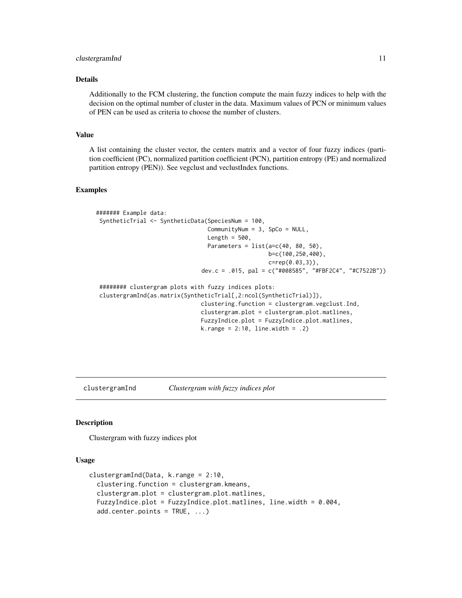#### <span id="page-10-0"></span>clustergramInd 11

## Details

Additionally to the FCM clustering, the function compute the main fuzzy indices to help with the decision on the optimal number of cluster in the data. Maximum values of PCN or minimum values of PEN can be used as criteria to choose the number of clusters.

## Value

A list containing the cluster vector, the centers matrix and a vector of four fuzzy indices (partition coefficient (PC), normalized partition coefficient (PCN), partition entropy (PE) and normalized partition entropy (PEN)). See vegclust and veclustIndex functions.

#### Examples

```
####### Example data:
 SyntheticTrial <- SyntheticData(SpeciesNum = 100,
                                 CommunityNum = 3, SpCo = NULL,
                                 Length = 500,
                                 Parameters = list(a=c(40, 80, 50),
                                                   b=c(100,250,400),
                                                   c=rep(0.03,3)),
                               dev.c = .015, pal = c("#008585", "#FBF2C4", "#C7522B"))
 ######## clustergram plots with fuzzy indices plots:
 clustergramInd(as.matrix(SyntheticTrial[,2:ncol(SyntheticTrial)]),
                               clustering.function = clustergram.vegclust.Ind,
                               clustergram.plot = clustergram.plot.matlines,
                               FuzzyIndice.plot = FuzzyIndice.plot.matlines,
                               k.random = 2:10, line-width = .2)
```
clustergramInd *Clustergram with fuzzy indices plot*

## **Description**

Clustergram with fuzzy indices plot

#### Usage

```
clustergramInd(Data, k.range = 2:10,
  clustering.function = clustergram.kmeans,
  clustergram.plot = clustergram.plot.matlines,
  FuzzyIndice.plot = FuzzyIndice.plot.matlines, line.width = 0.004,
  add.center.points = TRUE, ...)
```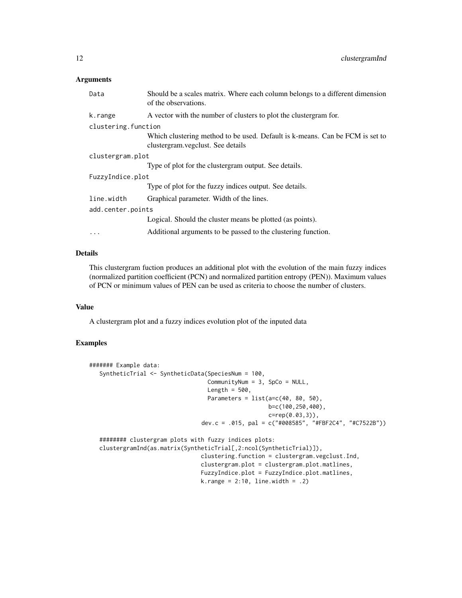## Arguments

| Data                | Should be a scales matrix. Where each column belongs to a different dimension<br>of the observations.             |
|---------------------|-------------------------------------------------------------------------------------------------------------------|
| k.range             | A vector with the number of clusters to plot the clustergram for.                                                 |
| clustering.function |                                                                                                                   |
|                     | Which clustering method to be used. Default is k-means. Can be FCM is set to<br>clustergram.vegclust. See details |
| clustergram.plot    |                                                                                                                   |
|                     | Type of plot for the clustergram output. See details.                                                             |
| FuzzyIndice.plot    |                                                                                                                   |
|                     | Type of plot for the fuzzy indices output. See details.                                                           |
| line.width          | Graphical parameter. Width of the lines.                                                                          |
| add.center.points   |                                                                                                                   |
|                     | Logical. Should the cluster means be plotted (as points).                                                         |
| $\cdots$            | Additional arguments to be passed to the clustering function.                                                     |

## Details

This clustergram fuction produces an additional plot with the evolution of the main fuzzy indices (normalized partition coefficient (PCN) and normalized partition entropy (PEN)). Maximum values of PCN or minimum values of PEN can be used as criteria to choose the number of clusters.

## Value

A clustergram plot and a fuzzy indices evolution plot of the inputed data

```
####### Example data:
  SyntheticTrial <- SyntheticData(SpeciesNum = 100,
                                   CommunityNum = 3, SpCo = NULL,
                                   Length = 500,
                                   Parameters = list(a=c(40, 80, 50)),
                                                     b=c(100,250,400),
                                                     c=rep(0.03,3)),
                                 dev.c = .015, pal = c("#008585", "#FBF2C4", "#C7522B"))
  ######## clustergram plots with fuzzy indices plots:
  clustergramInd(as.matrix(SyntheticTrial[,2:ncol(SyntheticTrial)]),
                                 clustering.function = clustergram.vegclust.Ind,
                                 clustergram.plot = clustergram.plot.matlines,
                                 FuzzyIndice.plot = FuzzyIndice.plot.matlines,
                                 k.range = 2:10, line.width = .2)
```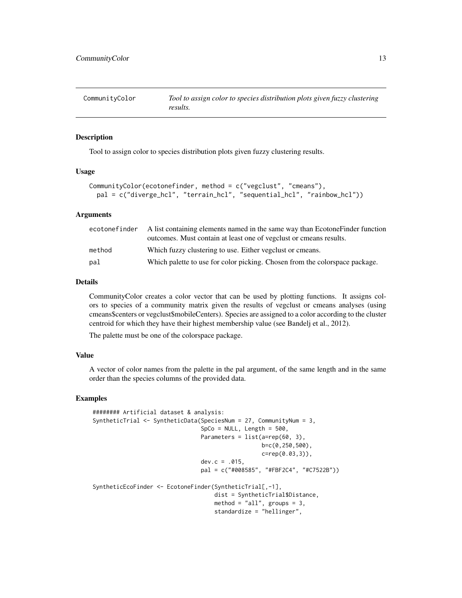<span id="page-12-0"></span>

#### **Description**

Tool to assign color to species distribution plots given fuzzy clustering results.

#### Usage

```
CommunityColor(ecotonefinder, method = c("vegclust", "cmeans"),
 pal = c("diverge_hcl", "terrain_hcl", "sequential_hcl", "rainbow_hcl"))
```
#### Arguments

| ecotonefinder | A list containing elements named in the same way than Ecotone Finder function |
|---------------|-------------------------------------------------------------------------------|
|               | outcomes. Must contain at least one of vegclust or cmeans results.            |
| method        | Which fuzzy clustering to use. Either vegelust or cmeans.                     |
| pal           | Which palette to use for color picking. Chosen from the colorspace package.   |

## Details

CommunityColor creates a color vector that can be used by plotting functions. It assigns colors to species of a community matrix given the results of vegclust or cmeans analyses (using cmeans\$centers or vegclust\$mobileCenters). Species are assigned to a color according to the cluster centroid for which they have their highest membership value (see Bandelj et al., 2012).

The palette must be one of the colorspace package.

## Value

A vector of color names from the palette in the pal argument, of the same length and in the same order than the species columns of the provided data.

```
######## Artificial dataset & analysis:
SyntheticTrial <- SyntheticData(SpeciesNum = 27, CommunityNum = 3,
                                SpCo = NULL, Length = 500,
                                Parameters = list(a=rep(60, 3),
                                                  b=c(0,250,500),
                                                  c=rep(0.03,3)),
                                dev.c = .015,
                                pal = c("#008585", "#FBF2C4", "#C7522B"))
SyntheticEcoFinder <- EcotoneFinder(SyntheticTrial[,-1],
                                    dist = SyntheticTrial$Distance,
                                    method = "all", groups = 3,
                                    standardize = "hellinger",
```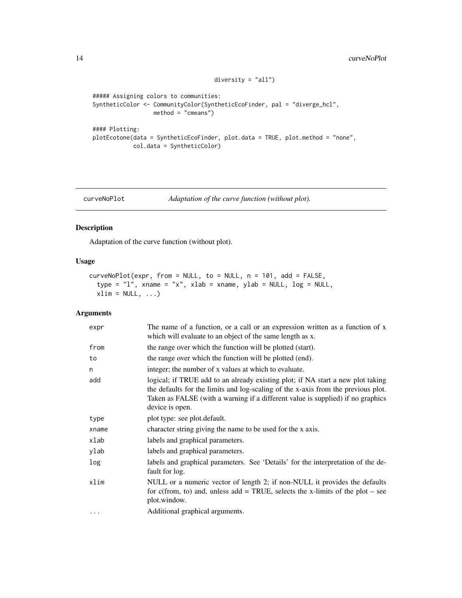```
##### Assigning colors to communities:
SyntheticColor <- CommunityColor(SyntheticEcoFinder, pal = "diverge_hcl",
                 method = "cmeans")
#### Plotting:
plotEcotone(data = SyntheticEcoFinder, plot.data = TRUE, plot.method = "none",
```
## curveNoPlot *Adaptation of the curve function (without plot).*

 $diversity = "all")$ 

## Description

Adaptation of the curve function (without plot).

col.data = SyntheticColor)

## Usage

```
curveNoPlot(expr, from = NULL, to = NULL, n = 101, add = FALSE,
  type = "1", xname = "x", xlab = xname, ylab = NULL, log = NULL,
  xlim = NULL, ...
```

| expr     | The name of a function, or a call or an expression written as a function of x<br>which will evaluate to an object of the same length as x.                                                                                                                                 |
|----------|----------------------------------------------------------------------------------------------------------------------------------------------------------------------------------------------------------------------------------------------------------------------------|
| from     | the range over which the function will be plotted (start).                                                                                                                                                                                                                 |
| to       | the range over which the function will be plotted (end).                                                                                                                                                                                                                   |
| n        | integer; the number of x values at which to evaluate.                                                                                                                                                                                                                      |
| add      | logical; if TRUE add to an already existing plot; if NA start a new plot taking<br>the defaults for the limits and log-scaling of the x-axis from the previous plot.<br>Taken as FALSE (with a warning if a different value is supplied) if no graphics<br>device is open. |
| type     | plot type: see plot.default.                                                                                                                                                                                                                                               |
| xname    | character string giving the name to be used for the x axis.                                                                                                                                                                                                                |
| xlab     | labels and graphical parameters.                                                                                                                                                                                                                                           |
| ylab     | labels and graphical parameters.                                                                                                                                                                                                                                           |
| log      | labels and graphical parameters. See 'Details' for the interpretation of the de-<br>fault for log.                                                                                                                                                                         |
| xlim     | NULL or a numeric vector of length 2; if non-NULL it provides the defaults<br>for c(from, to) and, unless add = TRUE, selects the x-limits of the plot – see<br>plot.window.                                                                                               |
| $\cdots$ | Additional graphical arguments.                                                                                                                                                                                                                                            |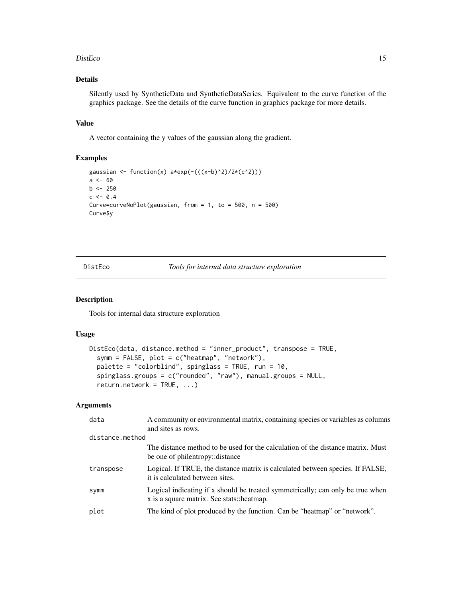#### <span id="page-14-0"></span>DistEco 15

## Details

Silently used by SyntheticData and SyntheticDataSeries. Equivalent to the curve function of the graphics package. See the details of the curve function in graphics package for more details.

#### Value

A vector containing the y values of the gaussian along the gradient.

## Examples

```
gaussian <- function(x) a*exp(-(((x-b)^2)/2*((c^2)))a < - 60b \le -250c \le -0.4Curve=curveNoPlot(gaussian, from = 1, to = 500, n = 500)
Curve$y
```
DistEco *Tools for internal data structure exploration*

## Description

Tools for internal data structure exploration

### Usage

```
DistEco(data, distance.method = "inner_product", transpose = TRUE,
  symm = FALSE, plot = c("heatmap", "network"),
 palette = "colorblind", spinglass = TRUE, run = 10,
  spinglass.groups = c("rounded", "raw"), manual.groups = NULL,
 return.nextwork = TRUE, ...)
```

| data            | A community or environmental matrix, containing species or variables as columns<br>and sites as rows.                       |
|-----------------|-----------------------------------------------------------------------------------------------------------------------------|
| distance.method |                                                                                                                             |
|                 | The distance method to be used for the calculation of the distance matrix. Must<br>be one of philentropy::distance          |
| transpose       | Logical. If TRUE, the distance matrix is calculated between species. If FALSE,<br>it is calculated between sites.           |
| Symm            | Logical indicating if x should be treated symmetrically; can only be true when<br>x is a square matrix. See stats::heatmap. |
| plot            | The kind of plot produced by the function. Can be "heatmap" or "network".                                                   |
|                 |                                                                                                                             |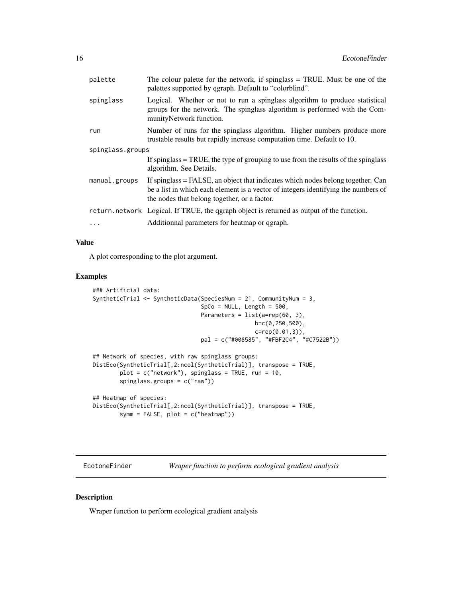<span id="page-15-0"></span>

| spinglass<br>munityNetwork function.<br>run<br>trustable results but rapidly increase computation time. Default to 10.<br>spinglass.groups<br>algorithm. See Details.<br>manual.groups<br>the nodes that belong together, or a factor. | palette | The colour palette for the network, if spinglass $=$ TRUE. Must be one of the<br>palettes supported by qgraph. Default to "colorblind".                               |  |
|----------------------------------------------------------------------------------------------------------------------------------------------------------------------------------------------------------------------------------------|---------|-----------------------------------------------------------------------------------------------------------------------------------------------------------------------|--|
|                                                                                                                                                                                                                                        |         | Logical. Whether or not to run a spinglass algorithm to produce statistical<br>groups for the network. The spinglass algorithm is performed with the Com-             |  |
|                                                                                                                                                                                                                                        |         | Number of runs for the spinglass algorithm. Higher numbers produce more                                                                                               |  |
|                                                                                                                                                                                                                                        |         |                                                                                                                                                                       |  |
|                                                                                                                                                                                                                                        |         | If spinglass $=$ TRUE, the type of grouping to use from the results of the spinglass                                                                                  |  |
|                                                                                                                                                                                                                                        |         | If spinglass = FALSE, an object that indicates which nodes belong together. Can<br>be a list in which each element is a vector of integers identifying the numbers of |  |
| return.network Logical. If TRUE, the qgraph object is returned as output of the function.                                                                                                                                              |         |                                                                                                                                                                       |  |
| Additionnal parameters for heatmap or qgraph.<br>$\cdots$                                                                                                                                                                              |         |                                                                                                                                                                       |  |

## Value

A plot corresponding to the plot argument.

#### Examples

```
### Artificial data:
SyntheticTrial <- SyntheticData(SpeciesNum = 21, CommunityNum = 3,
                                SpCo = NULL, Length = 500,
                                Parameters = list(a=rep(60, 3),
                                                b=c(0,250,500),
                                                c=rep(0.01,3)),
                                pal = c("#008585", "#FBF2C4", "#C7522B"))
## Network of species, with raw spinglass groups:
DistEco(SyntheticTrial[,2:ncol(SyntheticTrial)], transpose = TRUE,
        plot = c("network"), spinglass = TRUE, run = 10,
        spinglass.groups = c("raw"))
## Heatmap of species:
DistEco(SyntheticTrial[,2:ncol(SyntheticTrial)], transpose = TRUE,
        symm = FALSE, plot = c("heatmap")
```
EcotoneFinder *Wraper function to perform ecological gradient analysis*

## Description

Wraper function to perform ecological gradient analysis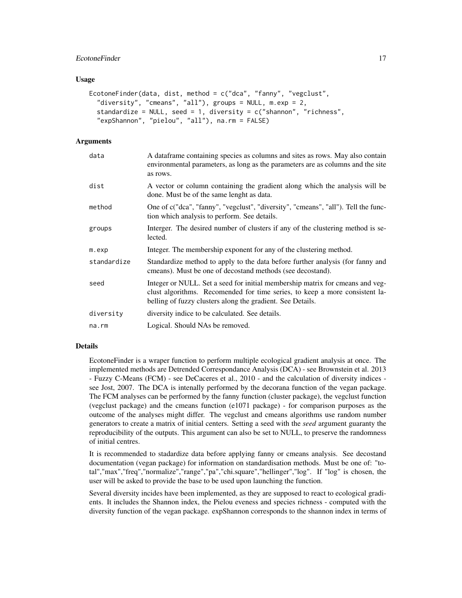## EcotoneFinder 17

#### Usage

```
EcotoneFinder(data, dist, method = c("dca", "fanny", "vegclust",
  "diversity", "cmeans", "all"), groups = NULL, m.exp = 2,
  standardize = NULL, seed = 1, diversity = c("shannon", "richness",
  "expShannon", "pielou", "all"), na.rm = FALSE)
```
## Arguments

| data        | A data frame containing species as columns and sites as rows. May also contain<br>environmental parameters, as long as the parameters are as columns and the site<br>as rows.                                              |
|-------------|----------------------------------------------------------------------------------------------------------------------------------------------------------------------------------------------------------------------------|
| dist        | A vector or column containing the gradient along which the analysis will be<br>done. Must be of the same lenght as data.                                                                                                   |
| method      | One of c("dca", "fanny", "vegclust", "diversity", "cmeans", "all"). Tell the func-<br>tion which analysis to perform. See details.                                                                                         |
| groups      | Interger. The desired number of clusters if any of the clustering method is se-<br>lected.                                                                                                                                 |
| m.exp       | Integer. The membership exponent for any of the clustering method.                                                                                                                                                         |
| standardize | Standardize method to apply to the data before further analysis (for fanny and<br>cmeans). Must be one of decostand methods (see decostand).                                                                               |
| seed        | Integer or NULL. Set a seed for initial membership matrix for cmeans and veg-<br>clust algorithms. Recomended for time series, to keep a more consistent la-<br>belling of fuzzy clusters along the gradient. See Details. |
| diversity   | diversity indice to be calculated. See details.                                                                                                                                                                            |
| na.rm       | Logical. Should NAs be removed.                                                                                                                                                                                            |
|             |                                                                                                                                                                                                                            |

#### Details

EcotoneFinder is a wraper function to perform multiple ecological gradient analysis at once. The implemented methods are Detrended Correspondance Analysis (DCA) - see Brownstein et al. 2013 - Fuzzy C-Means (FCM) - see DeCaceres et al., 2010 - and the calculation of diversity indices see Jost, 2007. The DCA is intenally performed by the decorana function of the vegan package. The FCM analyses can be performed by the fanny function (cluster package), the vegclust function (vegclust package) and the cmeans function (e1071 package) - for comparison purposes as the outcome of the analyses might differ. The vegclust and cmeans algorithms use random number generators to create a matrix of initial centers. Setting a seed with the *seed* argument guaranty the reproducibility of the outputs. This argument can also be set to NULL, to preserve the randomness of initial centres.

It is recommended to stadardize data before applying fanny or cmeans analysis. See decostand documentation (vegan package) for information on standardisation methods. Must be one of: "total","max","freq","normalize","range","pa","chi.square","hellinger","log". If "log" is chosen, the user will be asked to provide the base to be used upon launching the function.

Several diversity incides have been implemented, as they are supposed to react to ecological gradients. It includes the Shannon index, the Pielou eveness and species richness - computed with the diversity function of the vegan package. expShannon corresponds to the shannon index in terms of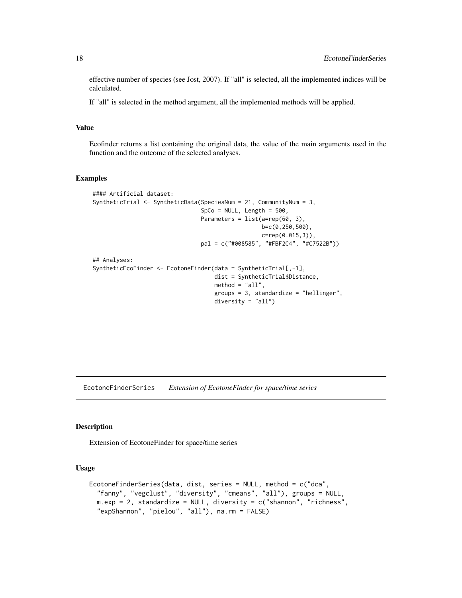effective number of species (see Jost, 2007). If "all" is selected, all the implemented indices will be calculated.

If "all" is selected in the method argument, all the implemented methods will be applied.

#### Value

Ecofinder returns a list containing the original data, the value of the main arguments used in the function and the outcome of the selected analyses.

## Examples

```
#### Artificial dataset:
SyntheticTrial <- SyntheticData(SpeciesNum = 21, CommunityNum = 3,
                                SpCo = NULL, Length = 500,
                                Parameters = list(a=rep(60, 3),b=c(0,250,500),
                                                  c=rep(0.015,3)),
                                pal = c("#008585", "#FBF2C4", "#C7522B"))
## Analyses:
SyntheticEcoFinder <- EcotoneFinder(data = SyntheticTrial[,-1],
                                    dist = SyntheticTrial$Distance,
                                    method = "all",groups = 3, standardize = "hellinger",
                                    diversity = "all")
```
EcotoneFinderSeries *Extension of EcotoneFinder for space/time series*

#### Description

Extension of EcotoneFinder for space/time series

## Usage

```
EcotoneFinderSeries(data, dist, series = NULL, method = c("dca",
  "fanny", "vegclust", "diversity", "cmeans", "all"), groups = NULL,
 m.exp = 2, standardize = NULL, diversity = c("shannon", "richness",
  "expShannon", "pielou", "all"), na.rm = FALSE)
```
<span id="page-17-0"></span>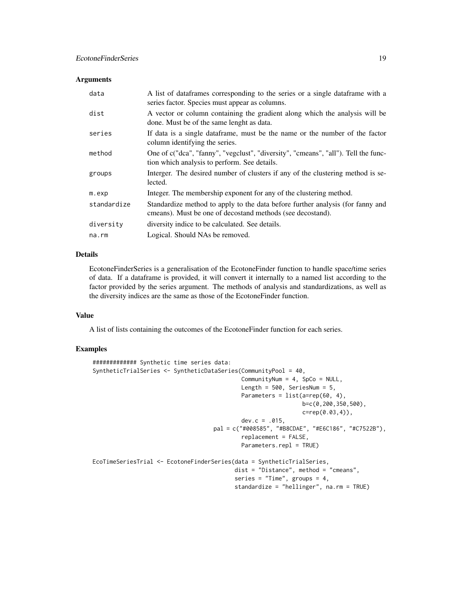#### Arguments

| data        | A list of data frames corresponding to the series or a single data frame with a<br>series factor. Species must appear as columns.            |
|-------------|----------------------------------------------------------------------------------------------------------------------------------------------|
| dist        | A vector or column containing the gradient along which the analysis will be<br>done. Must be of the same lenght as data.                     |
| series      | If data is a single data frame, must be the name or the number of the factor<br>column identifying the series.                               |
| method      | One of c("dca", "fanny", "vegclust", "diversity", "cmeans", "all"). Tell the func-<br>tion which analysis to perform. See details.           |
| groups      | Interger. The desired number of clusters if any of the clustering method is se-<br>lected.                                                   |
| m. exp      | Integer. The membership exponent for any of the clustering method.                                                                           |
| standardize | Standardize method to apply to the data before further analysis (for fanny and<br>cmeans). Must be one of decostand methods (see decostand). |
| diversity   | diversity indice to be calculated. See details.                                                                                              |
| na.rm       | Logical. Should NAs be removed.                                                                                                              |

## Details

EcotoneFinderSeries is a generalisation of the EcotoneFinder function to handle space/time series of data. If a dataframe is provided, it will convert it internally to a named list according to the factor provided by the series argument. The methods of analysis and standardizations, as well as the diversity indices are the same as those of the EcotoneFinder function.

#### Value

A list of lists containing the outcomes of the EcotoneFinder function for each series.

```
############# Synthetic time series data:
SyntheticTrialSeries <- SyntheticDataSeries(CommunityPool = 40,
                                            CommunityNum = 4, SpCo = NULL,
                                            Length = 500, SeriesNum = 5,
                                            Parameters = list(a=rep(60, 4),b=c(0,200,350,500),
                                                              c=rep(0.03,4)),
                                            dev.c = .015,
                                    pal = c("#008585", "#B8CDAE", "#E6C186", "#C7522B"),
                                            replacement = FALSE,
                                            Parameters.repl = TRUE)
EcoTimeSeriesTrial <- EcotoneFinderSeries(data = SyntheticTrialSeries,
                                          dist = "Distance", method = "cmeans",
                                          series = "Time", groups = 4,
                                          standardize = "hellinger", na.rm = TRUE)
```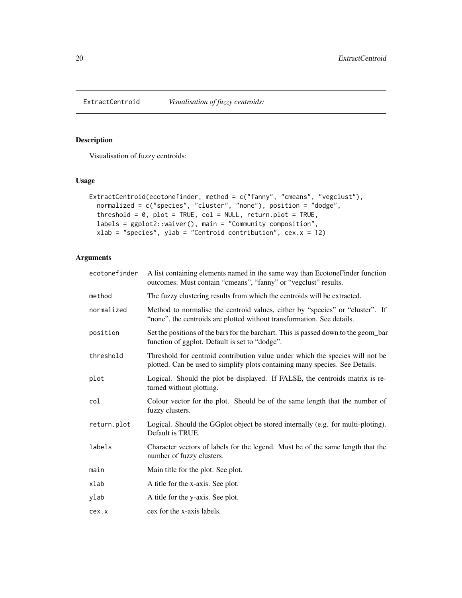<span id="page-19-0"></span>

## Description

Visualisation of fuzzy centroids:

## Usage

```
ExtractCentroid(ecotonefinder, method = c("fanny", "cmeans", "vegclust"),
  normalized = c("species", "cluster", "none"), position = "dodge",
  threshold = 0, plot = TRUE, col = NULL, return.plot = TRUE,
  labels = ggplot2::waiver(), main = "Community composition",
  xlab = "species", ylab = "Centroid contribution", cex.x = 12)
```

| ecotonefinder | A list containing elements named in the same way than Ecotone Finder function<br>outcomes. Must contain "cmeans", "fanny" or "vegclust" results.              |
|---------------|---------------------------------------------------------------------------------------------------------------------------------------------------------------|
| method        | The fuzzy clustering results from which the centroids will be extracted.                                                                                      |
| normalized    | Method to normalise the centroid values, either by "species" or "cluster". If<br>"none", the centroids are plotted without transformation. See details.       |
| position      | Set the positions of the bars for the barchart. This is passed down to the geom_bar<br>function of ggplot. Default is set to "dodge".                         |
| threshold     | Threshold for centroid contribution value under which the species will not be<br>plotted. Can be used to simplify plots containing many species. See Details. |
| plot          | Logical. Should the plot be displayed. If FALSE, the centroids matrix is re-<br>turned without plotting.                                                      |
| col           | Colour vector for the plot. Should be of the same length that the number of<br>fuzzy clusters.                                                                |
| return.plot   | Logical. Should the GGplot object be stored internally (e.g. for multi-ploting).<br>Default is TRUE.                                                          |
| labels        | Character vectors of labels for the legend. Must be of the same length that the<br>number of fuzzy clusters.                                                  |
| main          | Main title for the plot. See plot.                                                                                                                            |
| xlab          | A title for the x-axis. See plot.                                                                                                                             |
| ylab          | A title for the y-axis. See plot.                                                                                                                             |
| cex.x         | cex for the x-axis labels.                                                                                                                                    |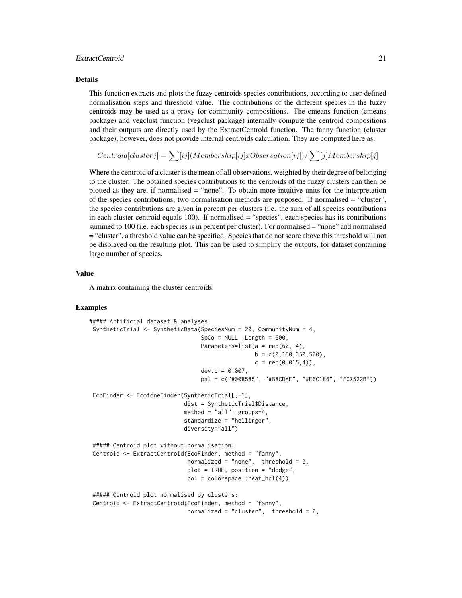## ExtractCentroid 21

#### Details

This function extracts and plots the fuzzy centroids species contributions, according to user-defined normalisation steps and threshold value. The contributions of the different species in the fuzzy centroids may be used as a proxy for community compositions. The cmeans function (cmeans package) and vegclust function (vegclust package) internally compute the centroid compositions and their outputs are directly used by the ExtractCentroid function. The fanny function (cluster package), however, does not provide internal centroids calculation. They are computed here as:

$$
Centroid[clusterj] = \sum [ij] (Membership[ij]xObservation[ij]) / \sum [j] Membership[j]
$$

Where the centroid of a cluster is the mean of all observations, weighted by their degree of belonging to the cluster. The obtained species contributions to the centroids of the fuzzy clusters can then be plotted as they are, if normalised = "none". To obtain more intuitive units for the interpretation of the species contributions, two normalisation methods are proposed. If normalised = "cluster", the species contributions are given in percent per clusters (i.e. the sum of all species contributions in each cluster centroid equals 100). If normalised = "species", each species has its contributions summed to 100 (i.e. each species is in percent per cluster). For normalised = "none" and normalised = "cluster", a threshold value can be specified. Species that do not score above this threshold will not be displayed on the resulting plot. This can be used to simplify the outputs, for dataset containing large number of species.

## Value

A matrix containing the cluster centroids.

```
##### Artificial dataset & analyses:
SyntheticTrial <- SyntheticData(SpeciesNum = 20, CommunityNum = 4,
                                 SpCo = NULL, Length = 500,
                                 Parameters=list(a = rep(60, 4),
                                                 b = c(0.150.350.500),
                                                 c = rep(0.015, 4),
                                 dev.c = 0.007,
                                 pal = c("#008585", "#B8CDAE", "#E6C186", "#C7522B"))
EcoFinder <- EcotoneFinder(SyntheticTrial[,-1],
                            dist = SyntheticTrial$Distance,
                            method = "all", groups=4,
                            standardize = "hellinger",
                            diversity="all")
##### Centroid plot without normalisation:
Centroid <- ExtractCentroid(EcoFinder, method = "fanny",
                             normalized = "none", threshold = 0,
                             plot = TRUE, position = "dodge",
                             col = colorspace::heat_hcl(4))##### Centroid plot normalised by clusters:
Centroid <- ExtractCentroid(EcoFinder, method = "fanny",
                             normalized = "cluster", threshold = 0,
```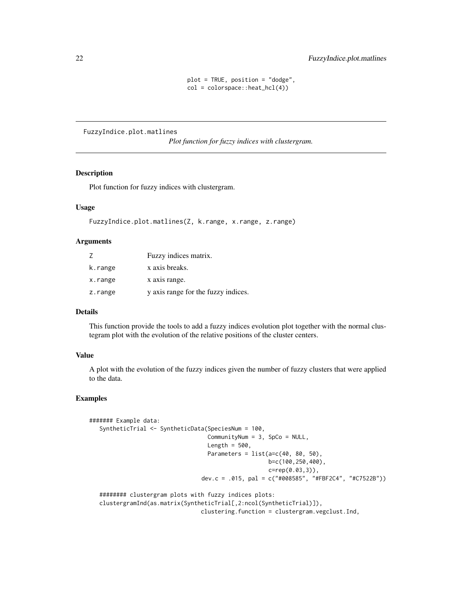```
plot = TRUE, position = "dodge",
col = colorspace::heat_hcl(4))
```
<span id="page-21-0"></span>FuzzyIndice.plot.matlines

*Plot function for fuzzy indices with clustergram.*

#### Description

Plot function for fuzzy indices with clustergram.

#### Usage

```
FuzzyIndice.plot.matlines(Z, k.range, x.range, z.range)
```
## Arguments

|         | Fuzzy indices matrix.               |
|---------|-------------------------------------|
| k.range | x axis breaks.                      |
| x.range | x axis range.                       |
| z.range | y axis range for the fuzzy indices. |

#### Details

This function provide the tools to add a fuzzy indices evolution plot together with the normal clustegram plot with the evolution of the relative positions of the cluster centers.

## Value

A plot with the evolution of the fuzzy indices given the number of fuzzy clusters that were applied to the data.

```
####### Example data:
  SyntheticTrial <- SyntheticData(SpeciesNum = 100,
                                   CommunityNum = 3, SpCo = NULL,
                                   Length = 500,
                                   Parameters = list(a=c(40, 80, 50)),
                                                     b=c(100,250,400),
                                                     c=rep(0.03,3)),
                                 dev.c = .015, pal = c("#008585", "#FBF2C4", "#C7522B"))
   ######## clustergram plots with fuzzy indices plots:
  clustergramInd(as.matrix(SyntheticTrial[,2:ncol(SyntheticTrial)]),
```

```
clustering.function = clustergram.vegclust.Ind,
```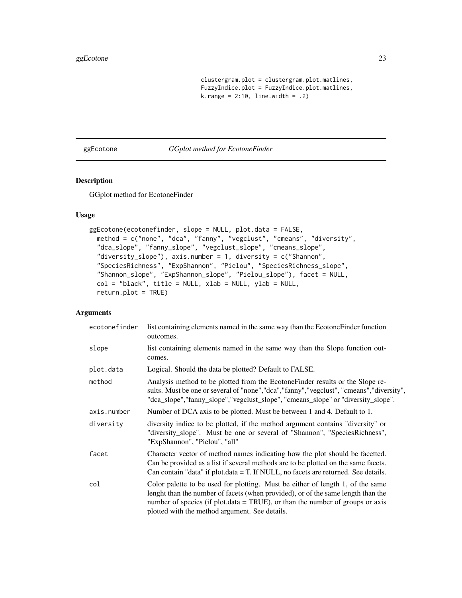```
clustergram.plot = clustergram.plot.matlines,
FuzzyIndice.plot = FuzzyIndice.plot.matlines,
k.random = 2:10, line-width = .2)
```
<span id="page-22-0"></span>ggEcotone *GGplot method for EcotoneFinder*

## Description

GGplot method for EcotoneFinder

## Usage

```
ggEcotone(ecotonefinder, slope = NULL, plot.data = FALSE,
 method = c("none", "dca", "fanny", "vegclust", "cmeans", "diversity",
  "dca_slope", "fanny_slope", "vegclust_slope", "cmeans_slope",
  "diversity_slope"), axis.number = 1, diversity = c("Shannon",
  "SpeciesRichness", "ExpShannon", "Pielou", "SpeciesRichness_slope",
  "Shannon_slope", "ExpShannon_slope", "Pielou_slope"), facet = NULL,
  col = "black", title = NULL, xlab = NULL, ylab = NULL,return.plot = TRUE)
```

| ecotonefinder | list containing elements named in the same way than the Ecotone Finder function<br>outcomes.                                                                                                                                                                                                          |
|---------------|-------------------------------------------------------------------------------------------------------------------------------------------------------------------------------------------------------------------------------------------------------------------------------------------------------|
| slope         | list containing elements named in the same way than the Slope function out-<br>comes.                                                                                                                                                                                                                 |
| plot.data     | Logical. Should the data be plotted? Default to FALSE.                                                                                                                                                                                                                                                |
| method        | Analysis method to be plotted from the Ecotone Finder results or the Slope re-<br>sults. Must be one or several of "none","dca","fanny","vegclust", "cmeans","diversity",<br>"dca_slope","fanny_slope","vegclust_slope", "cmeans_slope" or "diversity_slope".                                         |
| axis.number   | Number of DCA axis to be plotted. Must be between 1 and 4. Default to 1.                                                                                                                                                                                                                              |
| diversity     | diversity indice to be plotted, if the method argument contains "diversity" or<br>"diversity_slope". Must be one or several of "Shannon", "SpeciesRichness",<br>"ExpShannon", "Pielou", "all"                                                                                                         |
| facet         | Character vector of method names indicating how the plot should be facetted.<br>Can be provided as a list if several methods are to be plotted on the same facets.<br>Can contain "data" if plot.data = T. If NULL, no facets are returned. See details.                                              |
| col           | Color palette to be used for plotting. Must be either of length 1, of the same<br>lenght than the number of facets (when provided), or of the same length than the<br>number of species (if plot.data = TRUE), or than the number of groups or axis<br>plotted with the method argument. See details. |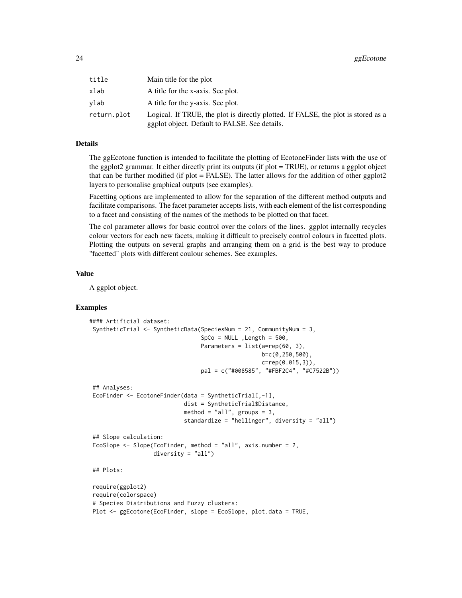| title       | Main title for the plot                                                                                                            |
|-------------|------------------------------------------------------------------------------------------------------------------------------------|
| xlab        | A title for the x-axis. See plot.                                                                                                  |
| vlab        | A title for the y-axis. See plot.                                                                                                  |
| return.plot | Logical. If TRUE, the plot is directly plotted. If FALSE, the plot is stored as a<br>ggplot object. Default to FALSE. See details. |

The ggEcotone function is intended to facilitate the plotting of EcotoneFinder lists with the use of the ggplot2 grammar. It either directly print its outputs (if plot = TRUE), or returns a ggplot object that can be further modified (if plot = FALSE). The latter allows for the addition of other ggplot2 layers to personalise graphical outputs (see examples).

Facetting options are implemented to allow for the separation of the different method outputs and facilitate comparisons. The facet parameter accepts lists, with each element of the list corresponding to a facet and consisting of the names of the methods to be plotted on that facet.

The col parameter allows for basic control over the colors of the lines. ggplot internally recycles colour vectors for each new facets, making it difficult to precisely control colours in facetted plots. Plotting the outputs on several graphs and arranging them on a grid is the best way to produce "facetted" plots with different coulour schemes. See examples.

## Value

A ggplot object.

```
#### Artificial dataset:
SyntheticTrial <- SyntheticData(SpeciesNum = 21, CommunityNum = 3,
                                 SpCo = NULL, Length = 500,
                                 Parameters = list(a=rep(60, 3)),
                                                   b=c(0,250,500),
                                                   c=rep(0.015,3)),
                                 pal = c("#008585", "#FBF2C4", "#C7522B"))
## Analyses:
EcoFinder <- EcotoneFinder(data = SyntheticTrial[,-1],
                            dist = SyntheticTrial$Distance,
                            method = "all", groups = 3,
                            standardize = "hellinger", diversity = "all")
## Slope calculation:
EcoSlope <- Slope(EcoFinder, method = "all", axis.number = 2,
                  diversity = "all")
## Plots:
require(ggplot2)
require(colorspace)
# Species Distributions and Fuzzy clusters:
Plot <- ggEcotone(EcoFinder, slope = EcoSlope, plot.data = TRUE,
```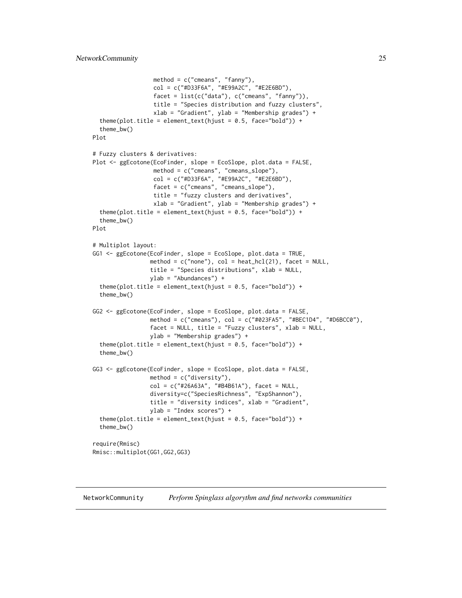```
method = c("cmeans", "fanny"),col = c("#D33F6A", "#E99A2C", "#E2E6BD"),
                  facet = list(c("data"), c("cmeans", "fanny")),
                  title = "Species distribution and fuzzy clusters",
                  xlab = "Gradient", ylab = "Membership grades") +
  theme(plot.title = element_text(hjust = 0.5, face="bold")) +
  theme_bw()
Plot
# Fuzzy clusters & derivatives:
Plot <- ggEcotone(EcoFinder, slope = EcoSlope, plot.data = FALSE,
                 method = c("cmeans", "cmeans_slope"),
                  col = c("#D33F6A", "#E99A2C", "#E2E6BD"),
                  facet = c("cmeans", "cmeans_slope"),
                  title = "fuzzy clusters and derivatives",
                  xlab = "Gradient", ylab = "Membership grades") +
  theme(plot.title = element_text(hjust = 0.5, face="bold")) +
  theme_bw()
Plot
# Multiplot layout:
GG1 <- ggEcotone(EcoFinder, slope = EcoSlope, plot.data = TRUE,
                method = c("none"), col = heat_hcl(21), facet = NULL,title = "Species distributions", xlab = NULL,
                 ylab = "Abundances") +
  theme(plot.title = element_text(hjust = 0.5, face="bold")) +
  theme_bw()
GG2 <- ggEcotone(EcoFinder, slope = EcoSlope, plot.data = FALSE,
                 method = c("cmeans"), col = c("#023FA5", "#BEC1D4", "#D6BCC0"),
                 facet = NULL, title = "Fuzzy clusters", xlab = NULL,
                 ylab = "Membership grades") +
  theme(plot.title = element_text(hjust = 0.5, face="bold")) +
  theme_bw()
GG3 <- ggEcotone(EcoFinder, slope = EcoSlope, plot.data = FALSE,
                 method = c("diversity"),
                 col = c("#26A63A", "#B4B61A"), facet = NULL,diversity=c("SpeciesRichness", "ExpShannon"),
                 title = "diversity indices", xlab = "Gradient",
                 ylab = "Index scores") +
  theme(plot.title = element_text(hjust = 0.5, face="bold")) +
 theme_bw()
require(Rmisc)
Rmisc::multiplot(GG1,GG2,GG3)
```
NetworkCommunity *Perform Spinglass algorythm and find networks communities*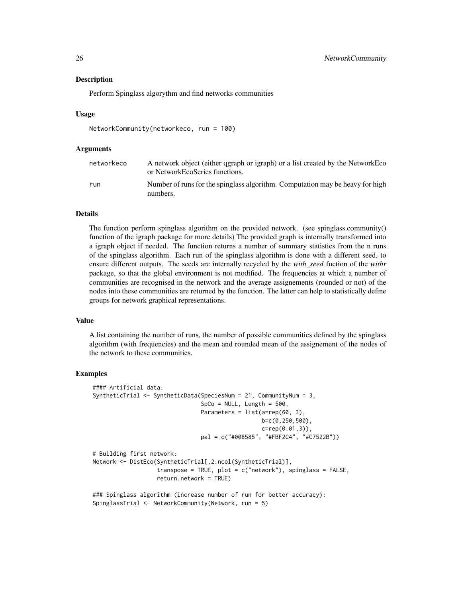#### Description

Perform Spinglass algorythm and find networks communities

#### Usage

```
NetworkCommunity(networkeco, run = 100)
```
#### Arguments

| networkeco | A network object (either qgraph or igraph) or a list created by the NetworkEco<br>or NetworkEcoSeries functions. |
|------------|------------------------------------------------------------------------------------------------------------------|
| run        | Number of runs for the spinglass algorithm. Computation may be heavy for high<br>numbers.                        |

## **Details**

The function perform spinglass algorithm on the provided network. (see spinglass.community() function of the igraph package for more details) The provided graph is internally transformed into a igraph object if needed. The function returns a number of summary statistics from the n runs of the spinglass algorithm. Each run of the spinglass algorithm is done with a different seed, to ensure different outputs. The seeds are internally recycled by the *with\_seed* fuction of the *withr* package, so that the global environment is not modified. The frequencies at which a number of communities are recognised in the network and the average assignements (rounded or not) of the nodes into these communities are returned by the function. The latter can help to statistically define groups for network graphical representations.

#### Value

A list containing the number of runs, the number of possible communities defined by the spinglass algorithm (with frequencies) and the mean and rounded mean of the assignement of the nodes of the network to these communities.

```
#### Artificial data:
SyntheticTrial <- SyntheticData(SpeciesNum = 21, CommunityNum = 3,
                                SpCo = NULL, Length = 500,
                                Parameters = list(a=rep(60, 3)),
                                                  b=c(0,250,500),
                                                  c=rep(0.01,3)),
                                pal = c("#008585", "#FBF2C4", "#C7522B"))
# Building first network:
Network <- DistEco(SyntheticTrial[,2:ncol(SyntheticTrial)],
                   transpose = TRUE, plot = c("network"), spinglass = FALSE,
                   return.network = TRUE)
### Spinglass algorithm (increase number of run for better accuracy):
SpinglassTrial <- NetworkCommunity(Network, run = 5)
```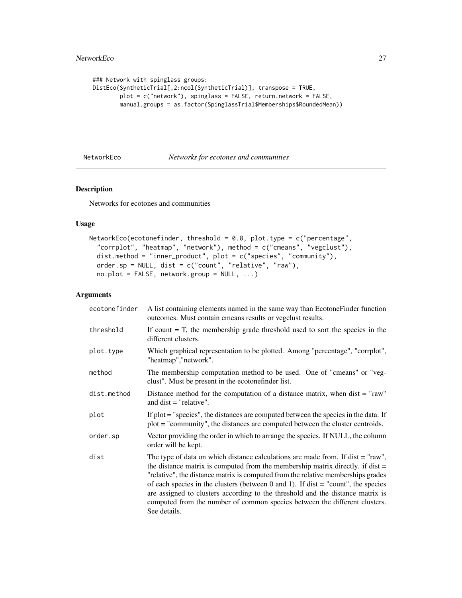```
### Network with spinglass groups:
DistEco(SyntheticTrial[,2:ncol(SyntheticTrial)], transpose = TRUE,
       plot = c("network"), spinglass = FALSE, return.network = FALSE,
       manual.groups = as.factor(SpinglassTrial$Memberships$RoundedMean))
```
NetworkEco *Networks for ecotones and communities*

#### Description

Networks for ecotones and communities

## Usage

```
NetworkEco(ecotonefinder, threshold = 0.8, plot.type = c("percentage",
 "corrplot", "heatmap", "network"), method = c("cmeans", "vegclust"),
 dist.method = "inner_product", plot = c("species", "community"),
 order.sp = NULL, dist = c("count", "relative", "raw"),
 no.plot = FALSE, network.group = NULL, ...)
```

| ecotonefinder | A list containing elements named in the same way than Ecotone Finder function<br>outcomes. Must contain cmeans results or vegclust results.                                                                                                                                                                                                                                                                                                                                                                                      |
|---------------|----------------------------------------------------------------------------------------------------------------------------------------------------------------------------------------------------------------------------------------------------------------------------------------------------------------------------------------------------------------------------------------------------------------------------------------------------------------------------------------------------------------------------------|
| threshold     | If count $=$ T, the membership grade threshold used to sort the species in the<br>different clusters.                                                                                                                                                                                                                                                                                                                                                                                                                            |
| plot.type     | Which graphical representation to be plotted. Among "percentage", "corrplot",<br>"heatmap","network".                                                                                                                                                                                                                                                                                                                                                                                                                            |
| method        | The membership computation method to be used. One of "cmeans" or "veg-<br>clust". Must be present in the ecotonefinder list.                                                                                                                                                                                                                                                                                                                                                                                                     |
| dist.method   | Distance method for the computation of a distance matrix, when $dist = "raw"$<br>and $dist = "relative".$                                                                                                                                                                                                                                                                                                                                                                                                                        |
| plot          | If $plot = "species", the distances are computed between the species in the data. If$<br>plot = "community", the distances are computed between the cluster centroids.                                                                                                                                                                                                                                                                                                                                                           |
| order.sp      | Vector providing the order in which to arrange the species. If NULL, the column<br>order will be kept.                                                                                                                                                                                                                                                                                                                                                                                                                           |
| dist          | The type of data on which distance calculations are made from. If $dist = "raw",$<br>the distance matrix is computed from the membership matrix directly. if dist $=$<br>"relative", the distance matrix is computed from the relative memberships grades<br>of each species in the clusters (between 0 and 1). If dist $=$ "count", the species<br>are assigned to clusters according to the threshold and the distance matrix is<br>computed from the number of common species between the different clusters.<br>See details. |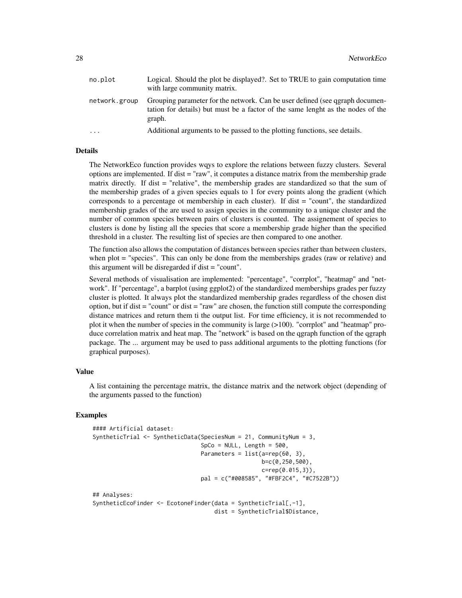| no.plot       | Logical. Should the plot be displayed?. Set to TRUE to gain computation time<br>with large community matrix.                                                              |
|---------------|---------------------------------------------------------------------------------------------------------------------------------------------------------------------------|
| network.group | Grouping parameter for the network. Can be user defined (see ggraph documen-<br>tation for details) but must be a factor of the same lenght as the nodes of the<br>graph. |
| $\ddots$      | Additional arguments to be passed to the plotting functions, see details.                                                                                                 |

The NetworkEco function provides wqys to explore the relations between fuzzy clusters. Several options are implemented. If dist = "raw", it computes a distance matrix from the membership grade matrix directly. If dist = "relative", the membership grades are standardized so that the sum of the membership grades of a given species equals to 1 for every points along the gradient (which corresponds to a percentage ot membership in each cluster). If dist = "count", the standardized membership grades of the are used to assign species in the community to a unique cluster and the number of common species between pairs of clusters is counted. The assignement of species to clusters is done by listing all the species that score a membership grade higher than the specified threshold in a cluster. The resulting list of species are then compared to one another.

The function also allows the computation of distances between species rather than between clusters, when plot = "species". This can only be done from the memberships grades (raw or relative) and this argument will be disregarded if dist = "count".

Several methods of visualisation are implemented: "percentage", "corrplot", "heatmap" and "network". If "percentage", a barplot (using ggplot2) of the standardized memberships grades per fuzzy cluster is plotted. It always plot the standardized membership grades regardless of the chosen dist option, but if dist = "count" or dist = "raw" are chosen, the function still compute the corresponding distance matrices and return them ti the output list. For time efficiency, it is not recommended to plot it when the number of species in the community is large (>100). "corrplot" and "heatmap" produce correlation matrix and heat map. The "network" is based on the qgraph function of the qgraph package. The ... argument may be used to pass additional arguments to the plotting functions (for graphical purposes).

#### Value

A list containing the percentage matrix, the distance matrix and the network object (depending of the arguments passed to the function)

```
#### Artificial dataset:
SyntheticTrial <- SyntheticData(SpeciesNum = 21, CommunityNum = 3,
                                SpCo = NULL, Length = 500,
                                Parameters = list(a=rep(60, 3)),
                                                  b=c(0,250,500),
                                                  c=rep(0.015,3)),
                                pal = c("#008585", "#FBF2C4", "#C7522B"))
## Analyses:
SyntheticEcoFinder <- EcotoneFinder(data = SyntheticTrial[,-1],
                                    dist = SyntheticTrial$Distance,
```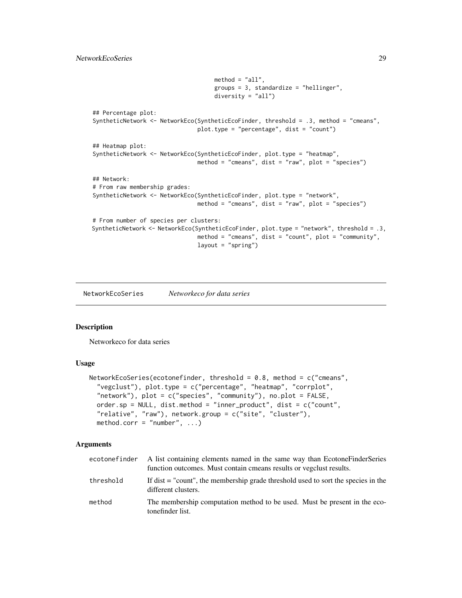## <span id="page-28-0"></span>NetworkEcoSeries 29

```
method = "all",groups = 3, standardize = "hellinger",
                                    diversity = "all")
## Percentage plot:
SyntheticNetwork <- NetworkEco(SyntheticEcoFinder, threshold = .3, method = "cmeans",
                               plot.type = "percentage", dist = "count")
## Heatmap plot:
SyntheticNetwork <- NetworkEco(SyntheticEcoFinder, plot.type = "heatmap",
                               method = "cmeans", dist = "raw", plot = "species")
## Network:
# From raw membership grades:
SyntheticNetwork <- NetworkEco(SyntheticEcoFinder, plot.type = "network",
                               method = "cmeans", dist = "raw", plot = "species")
# From number of species per clusters:
SyntheticNetwork <- NetworkEco(SyntheticEcoFinder, plot.type = "network", threshold = .3,
                               method = "cmeans", dist = "count", plot = "community",
                               layout = "spring")
```
NetworkEcoSeries *Networkeco for data series*

#### Description

Networkeco for data series

## Usage

```
NetworkEcoSeries(ecotonefinder, threshold = 0.8, method = c("cmeans","vegclust"), plot.type = c("percentage", "heatmap", "corrplot",
  "network"), plot = c("species", "community"), no.plot = FALSE,
 order.sp = NULL, dist.method = "inner_product", dist = c("count",
  "relative", "raw"), network.group = c("site", "cluster"),
 method.corr = "number", \dots)
```

| ecotonefinder | A list containing elements named in the same way than EcotoneFinderSeries<br>function outcomes. Must contain cmeans results or vegclust results. |
|---------------|--------------------------------------------------------------------------------------------------------------------------------------------------|
| threshold     | If dist $=$ "count", the membership grade threshold used to sort the species in the<br>different clusters.                                       |
| method        | The membership computation method to be used. Must be present in the eco-<br>tonefinder list.                                                    |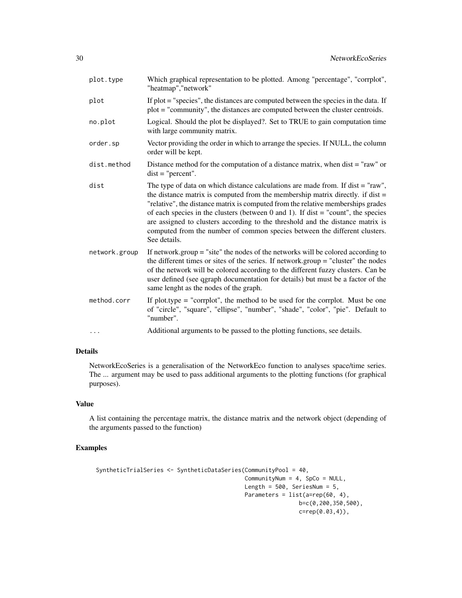| plot.type     | Which graphical representation to be plotted. Among "percentage", "corrplot",<br>"heatmap", "network"                                                                                                                                                                                                                                                                                                                                                                                                                            |
|---------------|----------------------------------------------------------------------------------------------------------------------------------------------------------------------------------------------------------------------------------------------------------------------------------------------------------------------------------------------------------------------------------------------------------------------------------------------------------------------------------------------------------------------------------|
| plot          | If plot = "species", the distances are computed between the species in the data. If<br>plot = "community", the distances are computed between the cluster centroids.                                                                                                                                                                                                                                                                                                                                                             |
| no.plot       | Logical. Should the plot be displayed?. Set to TRUE to gain computation time<br>with large community matrix.                                                                                                                                                                                                                                                                                                                                                                                                                     |
| order.sp      | Vector providing the order in which to arrange the species. If NULL, the column<br>order will be kept.                                                                                                                                                                                                                                                                                                                                                                                                                           |
| dist.method   | Distance method for the computation of a distance matrix, when dist = "raw" or<br>$dist = "percent".$                                                                                                                                                                                                                                                                                                                                                                                                                            |
| dist          | The type of data on which distance calculations are made from. If $dist = "raw",$<br>the distance matrix is computed from the membership matrix directly. if dist $=$<br>"relative", the distance matrix is computed from the relative memberships grades<br>of each species in the clusters (between 0 and 1). If dist $=$ "count", the species<br>are assigned to clusters according to the threshold and the distance matrix is<br>computed from the number of common species between the different clusters.<br>See details. |
| network.group | If network, group $=$ "site" the nodes of the networks will be colored according to<br>the different times or sites of the series. If network group = "cluster" the nodes<br>of the network will be colored according to the different fuzzy clusters. Can be<br>user defined (see qgraph documentation for details) but must be a factor of the<br>same lenght as the nodes of the graph.                                                                                                                                       |
| method.corr   | If plot, type $=$ "corrplot", the method to be used for the corrplot. Must be one<br>of "circle", "square", "ellipse", "number", "shade", "color", "pie". Default to<br>"number".                                                                                                                                                                                                                                                                                                                                                |
| .             | Additional arguments to be passed to the plotting functions, see details.                                                                                                                                                                                                                                                                                                                                                                                                                                                        |

NetworkEcoSeries is a generalisation of the NetworkEco function to analyses space/time series. The ... argument may be used to pass additional arguments to the plotting functions (for graphical purposes).

## Value

A list containing the percentage matrix, the distance matrix and the network object (depending of the arguments passed to the function)

```
SyntheticTrialSeries <- SyntheticDataSeries(CommunityPool = 40,
                                           CommunityNum = 4, SpCo = NULL,
                                           Length = 500, SeriesNum = 5,
                                           Parameters = list(a=rep(60, 4),b=c(0,200,350,500),
                                                           c=rep(0.03,4)),
```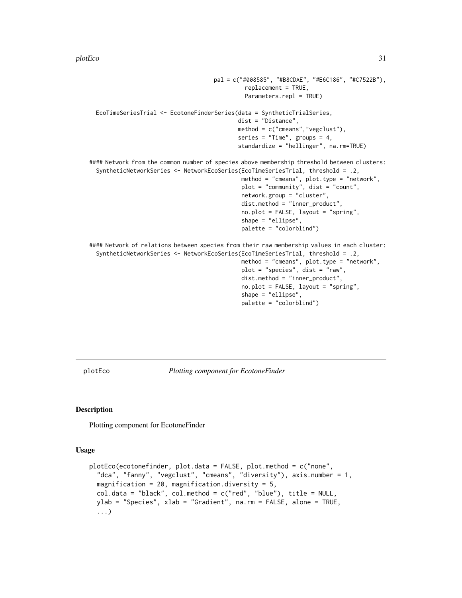```
pal = c("#008585", "#B8CDAE", "#E6C186", "#C7522B"),
                                              replacement = TRUE,
                                              Parameters.repl = TRUE)
 EcoTimeSeriesTrial <- EcotoneFinderSeries(data = SyntheticTrialSeries,
                                            dist = "Distance",
                                            method = c("cmeans","vegclust"),
                                            series = "Time", groups = 4,
                                            standardize = "hellinger", na.rm=TRUE)
#### Network from the common number of species above membership threshold between clusters:
 SyntheticNetworkSeries <- NetworkEcoSeries(EcoTimeSeriesTrial, threshold = .2,
                                              method = "cmeans", plot.type = "network",
                                              plot = "community", dist = "count",
                                             network.group = "cluster",
                                             dist.method = "inner_product",
                                             no.plot = FALSE, layout = "spring",
                                             shape = "ellipse",
                                             palette = "colorblind")
#### Network of relations between species from their raw membership values in each cluster:
 SyntheticNetworkSeries <- NetworkEcoSeries(EcoTimeSeriesTrial, threshold = .2,
                                             method = "cmeans", plot.type = "network",
                                             plot = "species", dist = "raw",
                                             dist.method = "inner_product",
                                             no.plot = FALSE, layout = "spring",
                                             shape = "ellipse",
                                             palette = "colorblind")
```
plotEco *Plotting component for EcotoneFinder*

### Description

Plotting component for EcotoneFinder

#### Usage

```
plotEco(ecotonefinder, plot.data = FALSE, plot.method = c("none",
  "dca", "fanny", "vegclust", "cmeans", "diversity"), axis.number = 1,
 magnification = 20, magnification.diversity = 5,
  col.data = "black", col.method = c("red", "blue"), title = NULL,ylab = "Species", xlab = "Gradient", na.rm = FALSE, alone = TRUE,
  ...)
```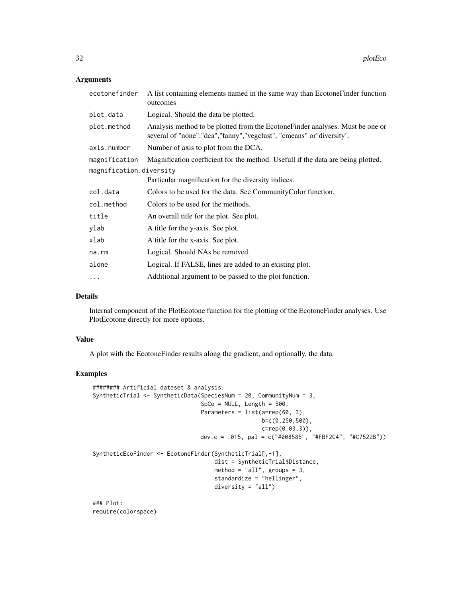#### Arguments

| ecotonefinder           | A list containing elements named in the same way than Ecotone Finder function<br>outcomes                                                             |  |  |  |
|-------------------------|-------------------------------------------------------------------------------------------------------------------------------------------------------|--|--|--|
| plot.data               | Logical. Should the data be plotted.                                                                                                                  |  |  |  |
| plot.method             | Analysis method to be plotted from the Ecotone Finder analyses. Must be one or<br>several of "none","dca","fanny","vegclust", "cmeans" or"diversity". |  |  |  |
| axis.number             | Number of axis to plot from the DCA.                                                                                                                  |  |  |  |
| magnification           | Magnification coefficient for the method. Usefull if the data are being plotted.                                                                      |  |  |  |
| magnification.diversity |                                                                                                                                                       |  |  |  |
|                         | Particular magnification for the diversity indices.                                                                                                   |  |  |  |
| col.data                | Colors to be used for the data. See Community Color function.                                                                                         |  |  |  |
| col.method              | Colors to be used for the methods.                                                                                                                    |  |  |  |
| title                   | An overall title for the plot. See plot.                                                                                                              |  |  |  |
| ylab                    | A title for the y-axis. See plot.                                                                                                                     |  |  |  |
| xlab                    | A title for the x-axis. See plot.                                                                                                                     |  |  |  |
| na.rm                   | Logical. Should NAs be removed.                                                                                                                       |  |  |  |
| alone                   | Logical. If FALSE, lines are added to an existing plot.                                                                                               |  |  |  |
| $\ddotsc$               | Additional argument to be passed to the plot function.                                                                                                |  |  |  |

#### Details

Internal component of the PlotEcotone function for the plotting of the EcotoneFinder analyses. Use PlotEcotone directly for more options.

## Value

A plot with the EcotoneFinder results along the gradient, and optionally, the data.

## Examples

```
######## Artificial dataset & analysis:
SyntheticTrial <- SyntheticData(SpeciesNum = 20, CommunityNum = 3,
                                SpCo = NULL, Length = 500,
                                Parameters = list(a=rep(60, 3),
                                                  b=c(0,250,500),
                                                  c=rep(0.03,3)),
                                dev.c = .015, pal = c("#008585", "#FBF2C4", "#C7522B"))
SyntheticEcoFinder <- EcotoneFinder(SyntheticTrial[,-1],
                                    dist = SyntheticTrial$Distance,
                                    method = "all", groups = 3,
                                    standardize = "hellinger",
                                    diversity = "all")
```
### Plot: require(colorspace)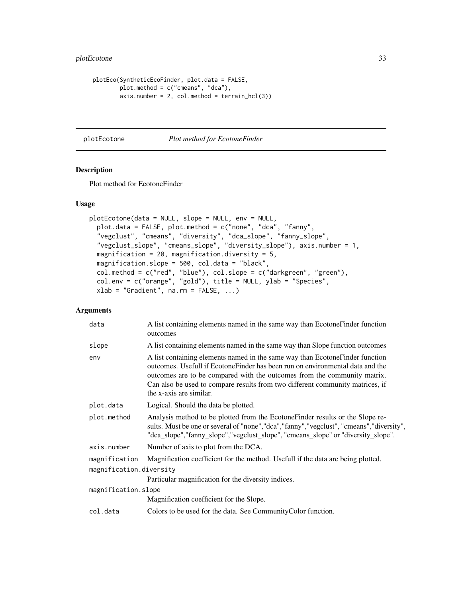## <span id="page-32-0"></span>plotEcotone 33

```
plotEco(SyntheticEcoFinder, plot.data = FALSE,
       plot.method = c("cmeans", "dca"),
       axis.number = 2, col.method = terrain_hcl(3))
```
plotEcotone *Plot method for EcotoneFinder*

## Description

Plot method for EcotoneFinder

## Usage

```
plotEcotone(data = NULL, slope = NULL, env = NULL,
 plot.data = FALSE, plot.method = c("none", "dca", "fanny",
  "vegclust", "cmeans", "diversity", "dca_slope", "fanny_slope",
  "vegclust_slope", "cmeans_slope", "diversity_slope"), axis.number = 1,
 magnification = 20, magnification.diversity = 5,
 magnification.slope = 500, col.data = "black",
 col.method = c("red", "blue"), col.slope = c("darkgreen", "green"),
 col.env = c("orange", "gold"), title = NULL, ylab = "Species",
 xlab = "Gradient", na.rm = FALSE, ...)
```

| data                    | A list containing elements named in the same way than Ecotone Finder function<br>outcomes                                                                                                                                                                                                                                                              |  |  |
|-------------------------|--------------------------------------------------------------------------------------------------------------------------------------------------------------------------------------------------------------------------------------------------------------------------------------------------------------------------------------------------------|--|--|
| slope                   | A list containing elements named in the same way than Slope function outcomes                                                                                                                                                                                                                                                                          |  |  |
| env                     | A list containing elements named in the same way than Ecotone Finder function<br>outcomes. Usefull if EcotoneFinder has been run on environmental data and the<br>outcomes are to be compared with the outcomes from the community matrix.<br>Can also be used to compare results from two different community matrices, if<br>the x-axis are similar. |  |  |
| plot.data               | Logical. Should the data be plotted.                                                                                                                                                                                                                                                                                                                   |  |  |
| plot.method             | Analysis method to be plotted from the EcotoneFinder results or the Slope re-<br>sults. Must be one or several of "none", "dca", "fanny", "vegclust", "cmeans", "diversity",<br>"dca_slope","fanny_slope","vegclust_slope", "cmeans_slope" or "diversity_slope".                                                                                       |  |  |
| axis.number             | Number of axis to plot from the DCA.                                                                                                                                                                                                                                                                                                                   |  |  |
| magnification           | Magnification coefficient for the method. Usefull if the data are being plotted.                                                                                                                                                                                                                                                                       |  |  |
| magnification.diversity |                                                                                                                                                                                                                                                                                                                                                        |  |  |
|                         | Particular magnification for the diversity indices.                                                                                                                                                                                                                                                                                                    |  |  |
| magnification.slope     |                                                                                                                                                                                                                                                                                                                                                        |  |  |
|                         | Magnification coefficient for the Slope.                                                                                                                                                                                                                                                                                                               |  |  |
| col.data                | Colors to be used for the data. See Community Color function.                                                                                                                                                                                                                                                                                          |  |  |
|                         |                                                                                                                                                                                                                                                                                                                                                        |  |  |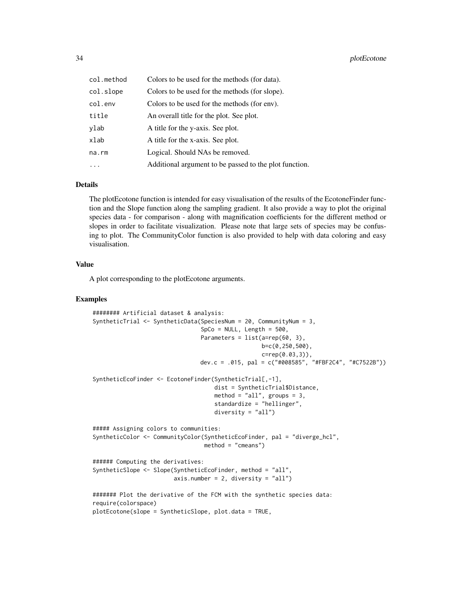| col.method | Colors to be used for the methods (for data).          |
|------------|--------------------------------------------------------|
| col.slope  | Colors to be used for the methods (for slope).         |
| col.env    | Colors to be used for the methods (for env).           |
| title      | An overall title for the plot. See plot.               |
| ylab       | A title for the y-axis. See plot.                      |
| xlab       | A title for the x-axis. See plot.                      |
| na.rm      | Logical. Should NAs be removed.                        |
|            | Additional argument to be passed to the plot function. |

The plotEcotone function is intended for easy visualisation of the results of the EcotoneFinder function and the Slope function along the sampling gradient. It also provide a way to plot the original species data - for comparison - along with magnification coefficients for the different method or slopes in order to facilitate visualization. Please note that large sets of species may be confusing to plot. The CommunityColor function is also provided to help with data coloring and easy visualisation.

#### Value

A plot corresponding to the plotEcotone arguments.

```
######## Artificial dataset & analysis:
SyntheticTrial <- SyntheticData(SpeciesNum = 20, CommunityNum = 3,
                                SpCo = NULL, Length = 500,
                                Parameters = list(a=rep(60, 3),
                                                  b=c(0,250,500),
                                                  c=rep(0.03,3)),
                                dev.c = .015, pal = c("#008585", "#FBF2C4", "#C7522B"))
SyntheticEcoFinder <- EcotoneFinder(SyntheticTrial[,-1],
                                    dist = SyntheticTrial$Distance,
                                    method = "all", groups = 3,
                                    standardize = "hellinger",
                                    diversity = "all")
##### Assigning colors to communities:
SyntheticColor <- CommunityColor(SyntheticEcoFinder, pal = "diverge_hcl",
                                 method = "cmeans")
###### Computing the derivatives:
SyntheticSlope <- Slope(SyntheticEcoFinder, method = "all",
                        axis.number = 2, diversity = "all")####### Plot the derivative of the FCM with the synthetic species data:
require(colorspace)
plotEcotone(slope = SyntheticSlope, plot.data = TRUE,
```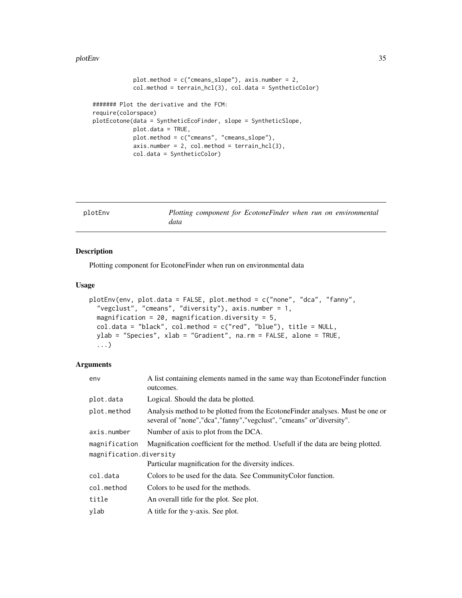#### <span id="page-34-0"></span>plotEnv 35

```
plot.method = c("cmeans_slope"), axis.number = 2,
            col.method = terrain_hcl(3), col.data = SyntheticColor)
####### Plot the derivative and the FCM:
require(colorspace)
plotEcotone(data = SyntheticEcoFinder, slope = SyntheticSlope,
           plot.data = TRUE,
           plot.method = c("cmeans", "cmeans_slope"),
            axis.number = 2, col.method = terrain_hcl(3),col.data = SyntheticColor)
```

| plotEnv |      |  | Plotting component for EcotoneFinder when run on environmental |  |  |
|---------|------|--|----------------------------------------------------------------|--|--|
|         | data |  |                                                                |  |  |

## Description

Plotting component for EcotoneFinder when run on environmental data

#### Usage

```
plotEnv(env, plot.data = FALSE, plot.method = c("none", "dca", "fanny",
  "vegclust", "cmeans", "diversity"), axis.number = 1,
 magnification = 20, magnification.diversity = 5,
  col.data = "black", col.method = c("red", "blue"), title = NULL,
 ylab = "Species", xlab = "Gradient", na.rm = FALSE, alone = TRUE,
  ...)
```

| env                     | A list containing elements named in the same way than Ecotone Finder function<br>outcomes.                                                                |  |  |  |
|-------------------------|-----------------------------------------------------------------------------------------------------------------------------------------------------------|--|--|--|
| plot.data               | Logical. Should the data be plotted.                                                                                                                      |  |  |  |
| plot.method             | Analysis method to be plotted from the Ecotone Finder analyses. Must be one or<br>several of "none", "dca", "fanny", "vegclust", "cmeans" or "diversity". |  |  |  |
| axis.number             | Number of axis to plot from the DCA.                                                                                                                      |  |  |  |
| magnification           | Magnification coefficient for the method. Usefull if the data are being plotted.                                                                          |  |  |  |
| magnification.diversity |                                                                                                                                                           |  |  |  |
|                         | Particular magnification for the diversity indices.                                                                                                       |  |  |  |
| col.data                | Colors to be used for the data. See Community Color function.                                                                                             |  |  |  |
| col.method              | Colors to be used for the methods.                                                                                                                        |  |  |  |
| title                   | An overall title for the plot. See plot.                                                                                                                  |  |  |  |
| ylab                    | A title for the y-axis. See plot.                                                                                                                         |  |  |  |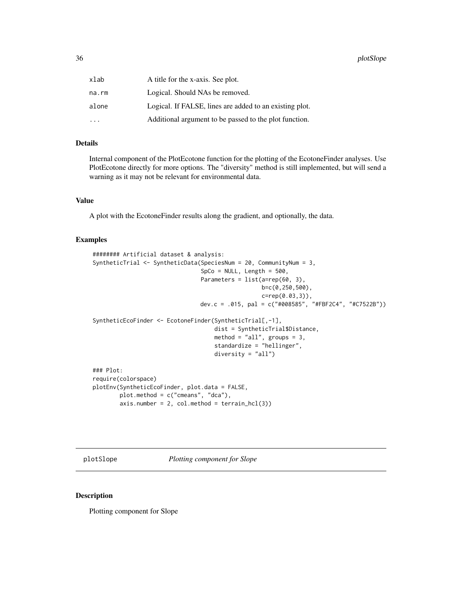<span id="page-35-0"></span>

| xlab  | A title for the x-axis. See plot.                       |
|-------|---------------------------------------------------------|
| na.rm | Logical. Should NAs be removed.                         |
| alone | Logical. If FALSE, lines are added to an existing plot. |
| .     | Additional argument to be passed to the plot function.  |

Internal component of the PlotEcotone function for the plotting of the EcotoneFinder analyses. Use PlotEcotone directly for more options. The "diversity" method is still implemented, but will send a warning as it may not be relevant for environmental data.

## Value

A plot with the EcotoneFinder results along the gradient, and optionally, the data.

## Examples

```
######## Artificial dataset & analysis:
SyntheticTrial <- SyntheticData(SpeciesNum = 20, CommunityNum = 3,
                                SpCo = NULL, Length = 500,
                                Parameters = list(a=rep(60, 3)),
                                                  b=c(0,250,500),
                                                  c=rep(0.03,3)),
                                dev.c = .015, pal = c("#008585", "#FBF2C4", "#C7522B"))
SyntheticEcoFinder <- EcotoneFinder(SyntheticTrial[,-1],
                                    dist = SyntheticTrial$Distance,
                                    method = "all", groups = 3,
                                    standardize = "hellinger",
                                    diversity = "all")
### Plot:
require(colorspace)
plotEnv(SyntheticEcoFinder, plot.data = FALSE,
       plot.method = c("cmeans", "dca"),
       axis.number = 2, col.method = terrain_hcl(3))
```
plotSlope *Plotting component for Slope*

#### Description

Plotting component for Slope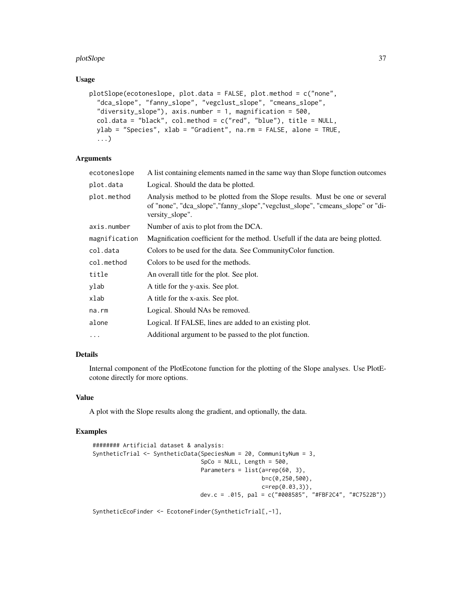#### plotSlope 37

#### Usage

```
plotSlope(ecotoneslope, plot.data = FALSE, plot.method = c("none",
  "dca_slope", "fanny_slope", "vegclust_slope", "cmeans_slope",
  "diversity_slope"), axis.number = 1, magnification = 500,
  col.data = "black", col.method = c("red", "blue"), title = NULL,
 ylab = "Species", xlab = "Gradient", na.rm = FALSE, alone = TRUE,
  ...)
```
## Arguments

| ecotoneslope  | A list containing elements named in the same way than Slope function outcomes                                                                                                      |
|---------------|------------------------------------------------------------------------------------------------------------------------------------------------------------------------------------|
| plot.data     | Logical. Should the data be plotted.                                                                                                                                               |
| plot.method   | Analysis method to be plotted from the Slope results. Must be one or several<br>of "none", "dca_slope", "fanny_slope", "vegclust_slope", "cmeans_slope" or "di-<br>versity slope". |
| axis.number   | Number of axis to plot from the DCA.                                                                                                                                               |
| magnification | Magnification coefficient for the method. Usefull if the data are being plotted.                                                                                                   |
| col.data      | Colors to be used for the data. See Community Color function.                                                                                                                      |
| col.method    | Colors to be used for the methods.                                                                                                                                                 |
| title         | An overall title for the plot. See plot.                                                                                                                                           |
| ylab          | A title for the y-axis. See plot.                                                                                                                                                  |
| xlab          | A title for the x-axis. See plot.                                                                                                                                                  |
| na.rm         | Logical. Should NAs be removed.                                                                                                                                                    |
| alone         | Logical. If FALSE, lines are added to an existing plot.                                                                                                                            |
| $\ddots$      | Additional argument to be passed to the plot function.                                                                                                                             |

## Details

Internal component of the PlotEcotone function for the plotting of the Slope analyses. Use PlotEcotone directly for more options.

## Value

A plot with the Slope results along the gradient, and optionally, the data.

#### Examples

```
######## Artificial dataset & analysis:
SyntheticTrial <- SyntheticData(SpeciesNum = 20, CommunityNum = 3,
                                SpCo = NULL, Length = 500,
                                Parameters = list(a=rep(60, 3)),
                                                  b=c(0,250,500),
                                                  c=rep(0.03,3)),
                                dev.c = .015, pal = c("#008585", "#FBF2C4", "#C7522B"))
```
SyntheticEcoFinder <- EcotoneFinder(SyntheticTrial[,-1],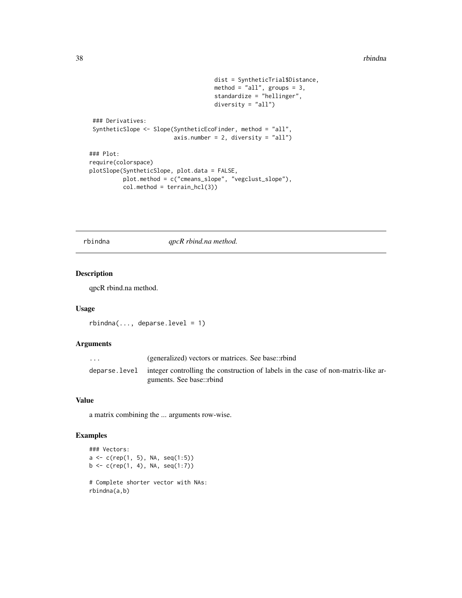```
dist = SyntheticTrial$Distance,
                                     method = "all", groups = 3,
                                     standardize = "hellinger",
                                     diversity = "all")### Derivatives:
SyntheticSlope <- Slope(SyntheticEcoFinder, method = "all",
                         axis.number = 2, diversity = "all")
### Plot:
require(colorspace)
plotSlope(SyntheticSlope, plot.data = FALSE,
         plot.method = c("cmeans_slope", "vegclust_slope"),
         col.method = terrain_hcl(3))
```
rbindna *qpcR rbind.na method.*

## Description

qpcR rbind.na method.

#### Usage

 $rbindna(..., deparse.level = 1)$ 

## Arguments

| $\cdot$ $\cdot$ $\cdot$ | (generalized) vectors or matrices. See base::rbind                                              |
|-------------------------|-------------------------------------------------------------------------------------------------|
|                         | deparse level integer controlling the construction of labels in the case of non-matrix-like ar- |
|                         | guments. See base::rbind                                                                        |

#### Value

a matrix combining the ... arguments row-wise.

```
### Vectors:
a \leftarrow c(rep(1, 5), NA, seq(1:5))b \leq c(\text{rep}(1, 4), \text{NA}, \text{seq}(1:7))# Complete shorter vector with NAs:
rbindna(a,b)
```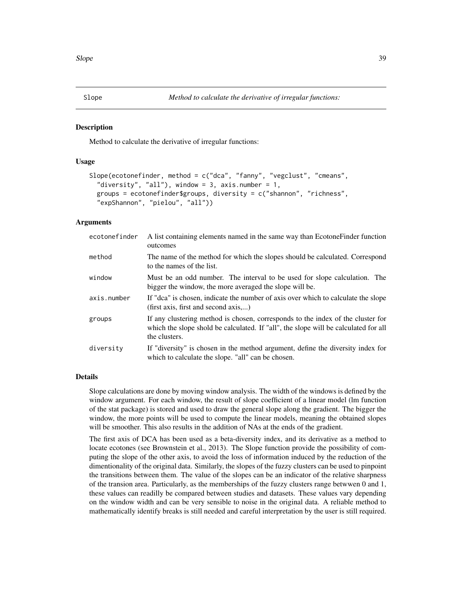<span id="page-38-0"></span>

#### Description

Method to calculate the derivative of irregular functions:

## Usage

```
Slope(ecotonefinder, method = c("dca", "fanny", "vegclust", "cmeans",
  "diversity", "all"), window = 3, axis.number = 1,
  groups = ecotonefinder$groups, diversity = c("shannon", "richness",
  "expShannon", "pielou", "all"))
```
#### Arguments

| ecotonefinder | A list containing elements named in the same way than Ecotone Finder function<br>outcomes                                                                                               |
|---------------|-----------------------------------------------------------------------------------------------------------------------------------------------------------------------------------------|
| method        | The name of the method for which the slopes should be calculated. Correspond<br>to the names of the list.                                                                               |
| window        | Must be an odd number. The interval to be used for slope calculation. The<br>bigger the window, the more averaged the slope will be.                                                    |
| axis.number   | If "dea" is chosen, indicate the number of axis over which to calculate the slope<br>(first axis, first and second axis)                                                                |
| groups        | If any clustering method is chosen, corresponds to the index of the cluster for<br>which the slope shold be calculated. If "all", the slope will be calculated for all<br>the clusters. |
| diversity     | If "diversity" is chosen in the method argument, define the diversity index for<br>which to calculate the slope. "all" can be chosen.                                                   |

#### Details

Slope calculations are done by moving window analysis. The width of the windows is defined by the window argument. For each window, the result of slope coefficient of a linear model (lm function of the stat package) is stored and used to draw the general slope along the gradient. The bigger the window, the more points will be used to compute the linear models, meaning the obtained slopes will be smoother. This also results in the addition of NAs at the ends of the gradient.

The first axis of DCA has been used as a beta-diversity index, and its derivative as a method to locate ecotones (see Brownstein et al., 2013). The Slope function provide the possibility of computing the slope of the other axis, to avoid the loss of information induced by the reduction of the dimentionality of the original data. Similarly, the slopes of the fuzzy clusters can be used to pinpoint the transitions between them. The value of the slopes can be an indicator of the relative sharpness of the transion area. Particularly, as the memberships of the fuzzy clusters range betwwen 0 and 1, these values can readilly be compared between studies and datasets. These values vary depending on the window width and can be very sensible to noise in the original data. A reliable method to mathematically identify breaks is still needed and careful interpretation by the user is still required.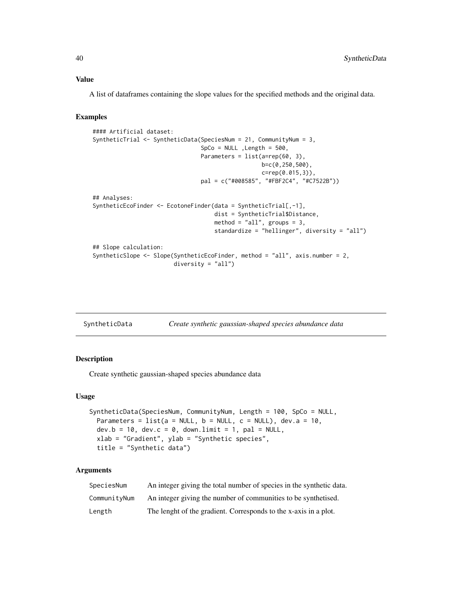## <span id="page-39-0"></span>Value

A list of dataframes containing the slope values for the specified methods and the original data.

## Examples

```
#### Artificial dataset:
SyntheticTrial <- SyntheticData(SpeciesNum = 21, CommunityNum = 3,
                                SpCo = NULL ,Length = 500,
                                Parameters = list(a=rep(60, 3),b=c(0,250,500),
                                                  c=rep(0.015,3)),
                                pal = c("#008585", "#FBF2C4", "#C7522B"))
## Analyses:
SyntheticEcoFinder <- EcotoneFinder(data = SyntheticTrial[,-1],
                                    dist = SyntheticTrial$Distance,
                                    method = "all", groups = 3,
                                    standardize = "hellinger", diversity = "all")
## Slope calculation:
SyntheticSlope <- Slope(SyntheticEcoFinder, method = "all", axis.number = 2,
                        diversity = "all")
```

| SyntheticData | Create synthetic gaussian-shaped species abundance data |  |
|---------------|---------------------------------------------------------|--|
|               |                                                         |  |

## Description

Create synthetic gaussian-shaped species abundance data

#### Usage

```
SyntheticData(SpeciesNum, CommunityNum, Length = 100, SpCo = NULL,
 Parameters = list(a = NULL, b = NULL, c = NULL), dev.a = 10,
 dev.b = 10, dev.c = 0, down.limit = 1, pal = NULL,
 xlab = "Gradient", ylab = "Synthetic species",
  title = "Synthetic data")
```

| SpeciesNum   | An integer giving the total number of species in the synthetic data. |
|--------------|----------------------------------------------------------------------|
| CommunityNum | An integer giving the number of communities to be synthetised.       |
| Length       | The lenght of the gradient. Corresponds to the x-axis in a plot.     |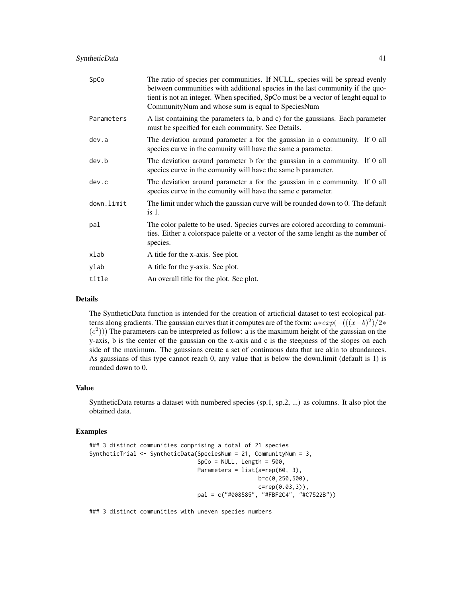| SpCo       | The ratio of species per communities. If NULL, species will be spread evenly<br>between communities with additional species in the last community if the quo-<br>tient is not an integer. When specified, SpCo must be a vector of lenght equal to<br>CommunityNum and whose sum is equal to SpeciesNum |
|------------|---------------------------------------------------------------------------------------------------------------------------------------------------------------------------------------------------------------------------------------------------------------------------------------------------------|
| Parameters | A list containing the parameters (a, b and c) for the gaussians. Each parameter<br>must be specified for each community. See Details.                                                                                                                                                                   |
| dev.a      | The deviation around parameter a for the gaussian in a community. If 0 all<br>species curve in the comunity will have the same a parameter.                                                                                                                                                             |
| dev.b      | The deviation around parameter b for the gaussian in a community. If 0 all<br>species curve in the comunity will have the same b parameter.                                                                                                                                                             |
| dev.c      | The deviation around parameter a for the gaussian in c community. If 0 all<br>species curve in the comunity will have the same c parameter.                                                                                                                                                             |
| down.limit | The limit under which the gaussian curve will be rounded down to 0. The default<br>$is1$ .                                                                                                                                                                                                              |
| pal        | The color palette to be used. Species curves are colored according to communi-<br>ties. Either a colorspace palette or a vector of the same lenght as the number of<br>species.                                                                                                                         |
| xlab       | A title for the x-axis. See plot.                                                                                                                                                                                                                                                                       |
| ylab       | A title for the y-axis. See plot.                                                                                                                                                                                                                                                                       |
| title      | An overall title for the plot. See plot.                                                                                                                                                                                                                                                                |
|            |                                                                                                                                                                                                                                                                                                         |

The SyntheticData function is intended for the creation of articficial dataset to test ecological patterns along gradients. The gaussian curves that it computes are of the form:  $a * exp(-(((x - b)^2)/2*)$  $(c<sup>2</sup>))$ ) The parameters can be interpreted as follow: a is the maximum height of the gaussian on the y-axis, b is the center of the gaussian on the x-axis and c is the steepness of the slopes on each side of the maximum. The gaussians create a set of continuous data that are akin to abundances. As gaussians of this type cannot reach 0, any value that is below the down.limit (default is 1) is rounded down to 0.

## Value

SyntheticData returns a dataset with numbered species (sp.1, sp.2, ...) as columns. It also plot the obtained data.

## Examples

```
### 3 distinct communities comprising a total of 21 species
SyntheticTrial <- SyntheticData(SpeciesNum = 21, CommunityNum = 3,
                                SpCo = NULL, Length = 500,
                                Parameters = list(a=rep(60, 3)),
                                                  b=c(0,250,500),
                                                  c=rep(0.03,3)),
                                pal = c("#008585", "#FBF2C4", "#C7522B"))
```
### 3 distinct communities with uneven species numbers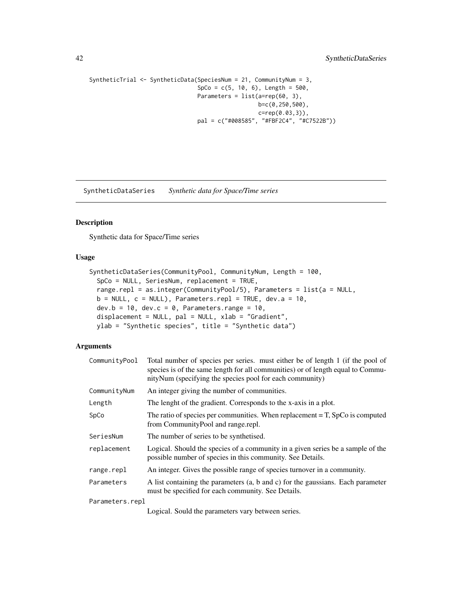```
SyntheticTrial <- SyntheticData(SpeciesNum = 21, CommunityNum = 3,
                                SpCo = c(5, 10, 6), Length = 500,
                                Parameters = list(a=rep(60, 3),
                                                  b=c(0,250,500),
                                                  c=rep(0.03,3)),
                                pal = c("#008585", "#FBF2C4", "#C7522B"))
```
SyntheticDataSeries *Synthetic data for Space/Time series*

#### Description

Synthetic data for Space/Time series

## Usage

```
SyntheticDataSeries(CommunityPool, CommunityNum, Length = 100,
  SpCo = NULL, SeriesNum, replacement = TRUE,
  range.repl = as.integer(CommunityPool/5), Parameters = list(a = NULL,
 b = NULL, c = NULL), Parameters.repl = TRUE, dev.a = 10,
  dev.b = 10, dev.c = 0, Parameters.range = 10,
  displacement = NULL, pal = NULL, xlab = "Gradient",
 ylab = "Synthetic species", title = "Synthetic data")
```
## Arguments

| CommunityPool   | Total number of species per series, must either be of length 1 (if the pool of<br>species is of the same length for all communities) or of length equal to Commu-<br>nityNum (specifying the species pool for each community) |
|-----------------|-------------------------------------------------------------------------------------------------------------------------------------------------------------------------------------------------------------------------------|
| CommunityNum    | An integer giving the number of communities.                                                                                                                                                                                  |
| Length          | The lenght of the gradient. Corresponds to the x-axis in a plot.                                                                                                                                                              |
| SpCo            | The ratio of species per communities. When replacement $= T$ , SpCo is computed<br>from CommunityPool and range.repl.                                                                                                         |
| SeriesNum       | The number of series to be synthetised.                                                                                                                                                                                       |
| replacement     | Logical. Should the species of a community in a given series be a sample of the<br>possible number of species in this community. See Details.                                                                                 |
| range.repl      | An integer. Gives the possible range of species turnover in a community.                                                                                                                                                      |
| Parameters      | A list containing the parameters (a, b and c) for the gaussians. Each parameter<br>must be specified for each community. See Details.                                                                                         |
| Parameters.repl |                                                                                                                                                                                                                               |

Logical. Sould the parameters vary between series.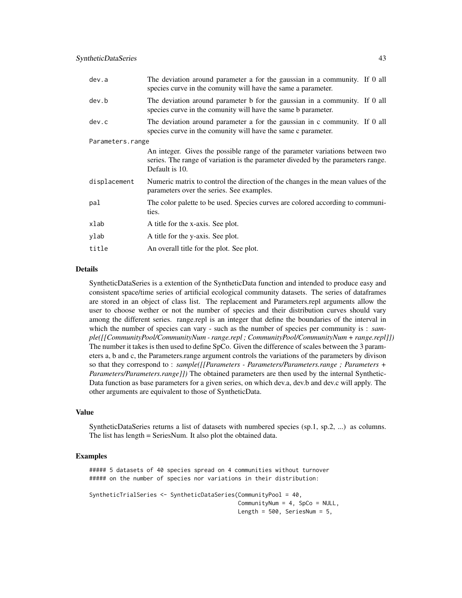| dev.a            | The deviation around parameter a for the gaussian in a community. If 0 all<br>species curve in the comunity will have the same a parameter.                                        |  |  |
|------------------|------------------------------------------------------------------------------------------------------------------------------------------------------------------------------------|--|--|
| dev.b            | The deviation around parameter b for the gaussian in a community. If 0 all<br>species curve in the comunity will have the same b parameter.                                        |  |  |
| dev.c            | The deviation around parameter a for the gaussian in c community. If 0 all<br>species curve in the comunity will have the same c parameter.                                        |  |  |
| Parameters.range |                                                                                                                                                                                    |  |  |
|                  | An integer. Gives the possible range of the parameter variations between two<br>series. The range of variation is the parameter diveded by the parameters range.<br>Default is 10. |  |  |
| displacement     | Numeric matrix to control the direction of the changes in the mean values of the<br>parameters over the series. See examples.                                                      |  |  |
| pal              | The color palette to be used. Species curves are colored according to communi-<br>ties.                                                                                            |  |  |
| xlab             | A title for the x-axis. See plot.                                                                                                                                                  |  |  |
| ylab             | A title for the y-axis. See plot.                                                                                                                                                  |  |  |
| title            | An overall title for the plot. See plot.                                                                                                                                           |  |  |

SyntheticDataSeries is a extention of the SyntheticData function and intended to produce easy and consistent space/time series of artificial ecological community datasets. The series of dataframes are stored in an object of class list. The replacement and Parameters.repl arguments allow the user to choose wether or not the number of species and their distribution curves should vary among the different series. range.repl is an integer that define the boundaries of the interval in which the number of species can vary - such as the number of species per community is : *sample([[CommunityPool/CommunityNum - range.repl ; CommunityPool/CommunityNum + range.repl]])* The number it takes is then used to define SpCo. Given the difference of scales between the 3 parameters a, b and c, the Parameters.range argument controls the variations of the parameters by divison so that they correspond to : *sample([[Parameters - Parameters/Parameters.range ; Parameters + Parameters/Parameters.range]])* The obtained parameters are then used by the internal Synthetic-Data function as base parameters for a given series, on which dev.a, dev.b and dev.c will apply. The other arguments are equivalent to those of SyntheticData.

#### Value

SyntheticDataSeries returns a list of datasets with numbered species (sp.1, sp.2, ...) as columns. The list has length = SeriesNum. It also plot the obtained data.

#### Examples

##### 5 datasets of 40 species spread on 4 communities without turnover ##### on the number of species nor variations in their distribution:

```
SyntheticTrialSeries <- SyntheticDataSeries(CommunityPool = 40,
                                            CommunityNum = 4, SpCo = NULL,
                                            Length = 500, SeriesNum = 5,
```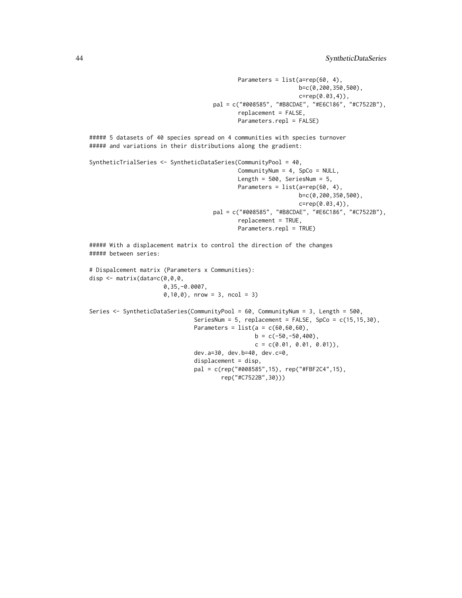```
Parameters = list(a=rep(60, 4),b=c(0,200,350,500),
                                                               c=rep(0.03,4)),
                                     pal = c("#008585", "#B8CDAE", "#E6C186", "#C7522B"),
                                            replacement = FALSE,
                                            Parameters.repl = FALSE)
##### 5 datasets of 40 species spread on 4 communities with species turnover
##### and variations in their distributions along the gradient:
SyntheticTrialSeries <- SyntheticDataSeries(CommunityPool = 40,
                                            CommunityNum = 4, SpCo = NULL,
                                            Length = 500, SeriesNum = 5,
                                            Parameters = list(a=rep(60, 4),b=c(0,200,350,500),
                                                               c=rep(0.03,4)),
                                     pal = c("#008585", "#B8CDAE", "#E6C186", "#C7522B"),
                                            replacement = TRUE,
                                            Parameters.repl = TRUE)
##### With a displacement matrix to control the direction of the changes
##### between series:
# Dispalcement matrix (Parameters x Communities):
disp <- matrix(data=c(0,0,0,
                      0,35,-0.0007,
                      0,10,0), nrow = 3, ncol = 3)
Series <- SyntheticDataSeries(CommunityPool = 60, CommunityNum = 3, Length = 500,
                               SeriesNum = 5, replacement = FALSE, SpCo = c(15,15,30),
                               Parameters = list(a = c(60, 60, 60),
                                                 b = c(-50, -50, 400),
                                                 c = c(0.01, 0.01, 0.01),
                               dev.a=30, dev.b=40, dev.c=0,
                               displacement = disp,
                               pal = c(rep("#008585",15), rep("#FBF2C4",15),
```
rep("#C7522B",30)))